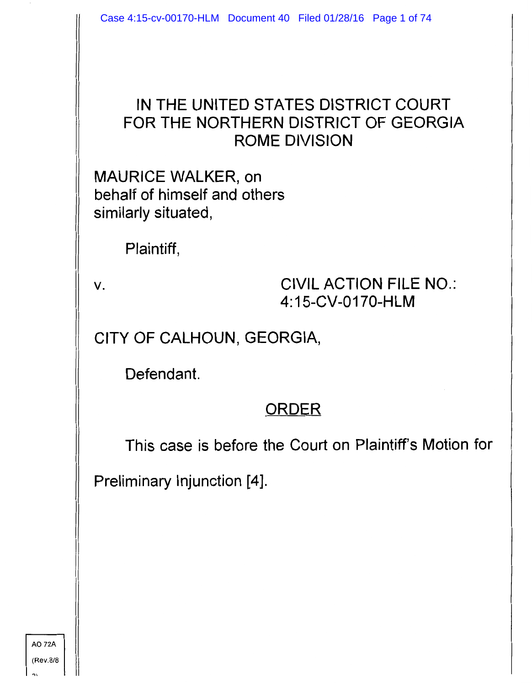#### IN THE UNITED STATES DISTRICT COURT FOR THE NORTHERN DISTRICT OF GEORGIA ROME DIVISION

MAURICE WALKER, on behalf of himself and others similarly situated,

Plaintiff,

v. CIVIL ACTION FILE NO.: 4: 15-CV-0170-HLM

CITY OF CALHOUN, GEORGIA,

Defendant.

#### ORDER

This case is before the Court on Plaintiff's Motion for

Preliminary Injunction [4].

A072A (Rev.8/8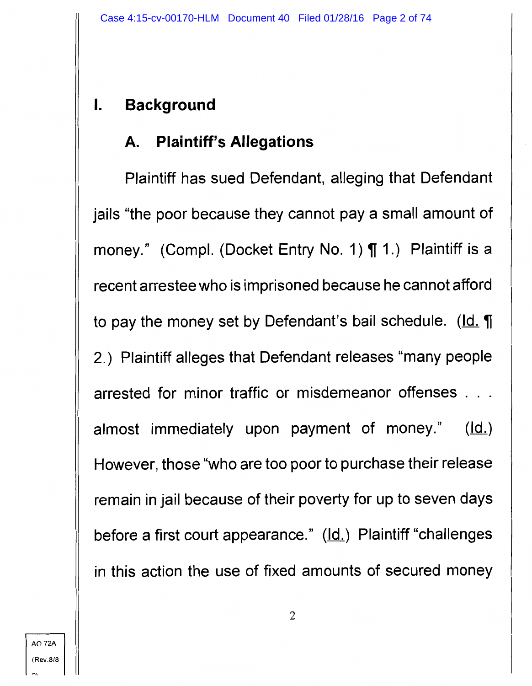# I. **Background**

# **A. Plaintiff's Allegations**

Plaintiff has sued Defendant, alleging that Defendant jails "the poor because they cannot pay a small amount of money." (Compl. (Docket Entry No. 1) **[1.)** Plaintiff is a recent arrestee who is imprisoned because he cannot afford to pay the money set by Defendant's bail schedule. (Id. **1**) 2.) Plaintiff alleges that Defendant releases "many people arrested for minor traffic or misdemeanor offenses . . . almost immediately upon payment of money."  $(\underline{Id.})$ However, those "who are too poor to purchase their release remain in jail because of their poverty for up to seven days before a first court appearance." (Id.) Plaintiff "challenges in this action the use of fixed amounts of secured money

"'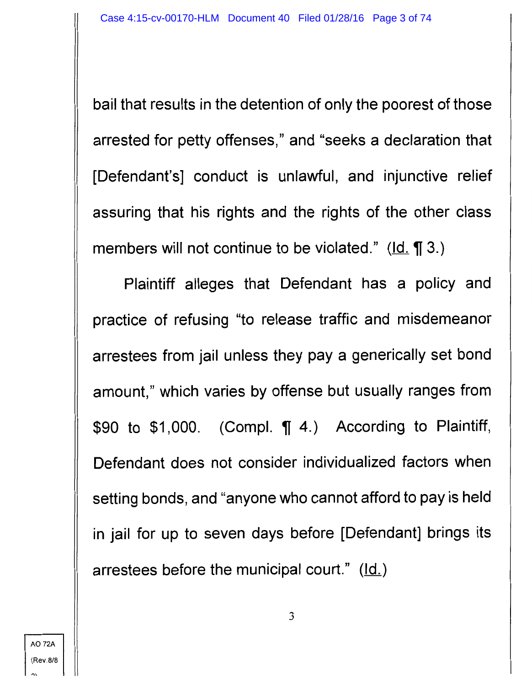bail that results in the detention of only the poorest of those arrested for petty offenses," and "seeks a declaration that [Defendant's] conduct is unlawful, and injunctive relief assuring that his rights and the rights of the other class members will not continue to be violated." ( $\text{Id. } \P$  3.)

Plaintiff alleges that Defendant has a policy and practice of refusing "to release traffic and misdemeanor arrestees from jail unless they pay a generically set bond amount," which varies by offense but usually ranges from \$90 to \$1,000. (Compl.  $\P$  4.) According to Plaintiff, Defendant does not consider individualized factors when setting bonds, and "anyone who cannot afford to pay is held in jail for up to seven days before [Defendant] brings its arrestees before the municipal court."  $(\underline{Id.})$ 

 $\mathbf{r}$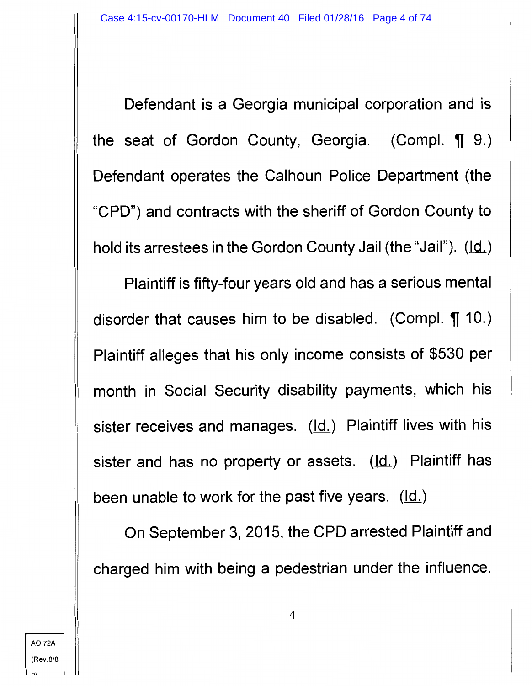Defendant is a Georgia municipal corporation and is the seat of Gordon County, Georgia. (Compl.  $\P$  9.) Defendant operates the Calhoun Police Department (the "CPD") and contracts with the sheriff of Gordon County to hold its arrestees in the Gordon County Jail (the "Jail").  $(\underline{Id.})$ 

Plaintiff is fifty-four years old and has a serious mental disorder that causes him to be disabled. (Compl.  $\P$  10.) Plaintiff alleges that his only income consists of \$530 per month in Social Security disability payments, which his sister receives and manages. (Id.) Plaintiff lives with his sister and has no property or assets.  $(\underline{Id.})$  Plaintiff has been unable to work for the past five years.  $(\underline{Id.})$ 

On September 3, 2015, the CPD arrested Plaintiff and charged him with being a pedestrian under the influence.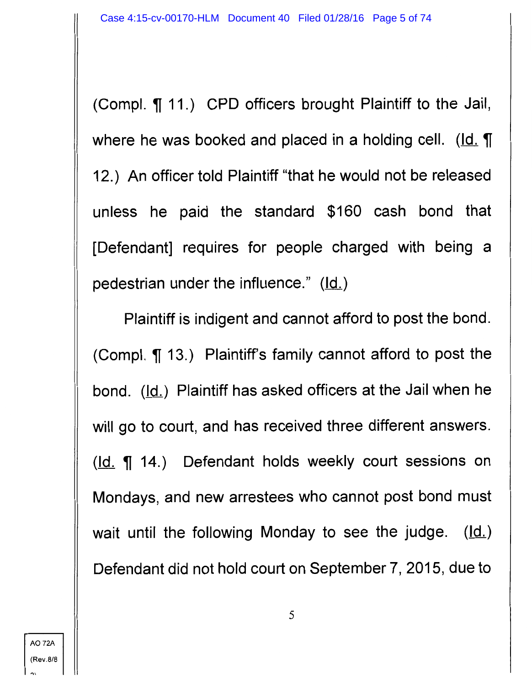(Compl.  $\P$  11.) CPD officers brought Plaintiff to the Jail, where he was booked and placed in a holding cell. (Id.  $\P$ 12.) An officer told Plaintiff "that he would not be released unless he paid the standard \$160 cash bond that [Defendant] requires for people charged with being a pedestrian under the influence."  $(\underline{Id.})$ 

Plaintiff is indigent and cannot afford to post the bond. (Compl.  $\P$  13.) Plaintiff's family cannot afford to post the bond. (Id.) Plaintiff has asked officers at the Jail when he will go to court, and has received three different answers.  $(k)$   $\left( \frac{d}{dx} \right)$   $( \frac{d}{dx} \right)$  Defendant holds weekly court sessions on Mondays, and new arrestees who cannot post bond must wait until the following Monday to see the judge.  $(ld)$ Defendant did not hold court on September 7, 2015, due to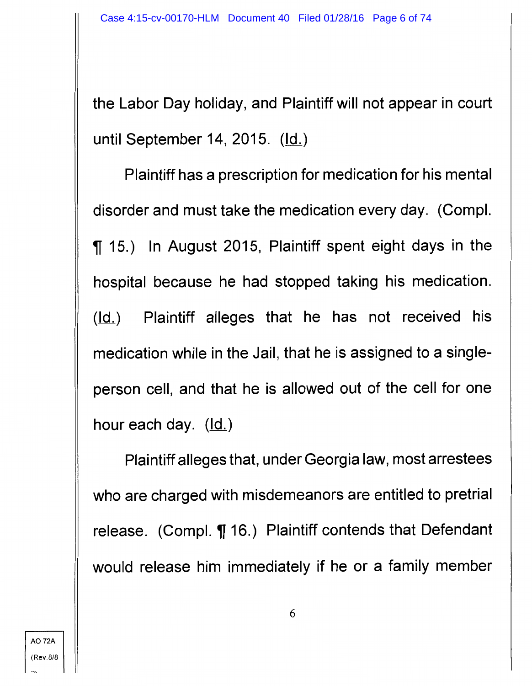the Labor Day holiday, and Plaintiff will not appear in court until September 14, 2015.  $(\underline{Id.})$ 

Plaintiff has a prescription for medication for his mental disorder and must take the medication every day. (Compl. <sup>~</sup>15.) In August 2015, Plaintiff spent eight days in the hospital because he had stopped taking his medication.  $(ld)$  Plaintiff alleges that he has not received his medication while in the Jail, that he is assigned to a singleperson cell, and that he is allowed out of the cell for one hour each day.  $(ld.)$ 

Plaintiff alleges that, under Georgia law, most arrestees who are charged with misdemeanors are entitled to pretrial release. (Compl. ¶ 16.) Plaintiff contends that Defendant would release him immediately if he or a family member

A072A (Rev.8/8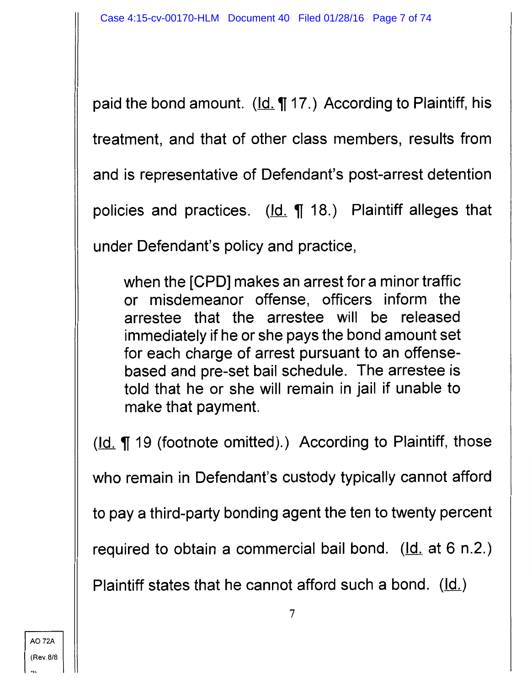paid the bond amount.  $(\underline{Id} \cdot \P 17.)$  According to Plaintiff, his

treatment, and that of other class members, results from

and is representative of Defendant's post-arrest detention

policies and practices.  $(\underline{Id.} \P 18.)$  Plaintiff alleges that

under Defendant's policy and practice,

when the [CPD] makes an arrest for a minor traffic or misdemeanor offense, officers inform the arrestee that the arrestee will be released immediately if he or she pays the bond amount set for each charge of arrest pursuant to an offensebased and pre-set bail schedule. The arrestee is told that he or she will remain in jail if unable to make that payment.

 $(\underline{Id.} \P 19$  (footnote omitted).) According to Plaintiff, those

who remain in Defendant's custody typically cannot afford

to pay a third-party bonding agent the ten to twenty percent

required to obtain a commercial bail bond. ( $\underline{Id}$  at 6 n.2.)

Plaintiff states that he cannot afford such a bond.  $(\underline{Id.})$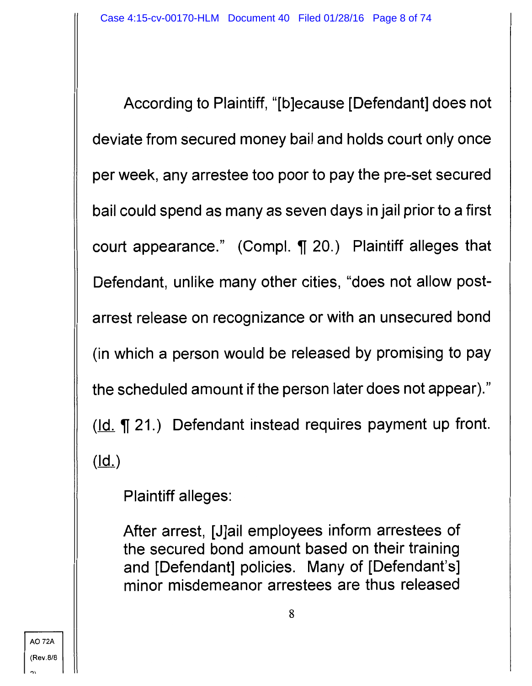According to Plaintiff, "[b]ecause [Defendant] does not deviate from secured money bail and holds court only once per week, any arrestee too poor to pay the pre-set secured bail could spend as many as seven days in jail prior to a first court appearance." (Compl.  $\P$  20.) Plaintiff alleges that Defendant, unlike many other cities, "does not allow postarrest release on recognizance or with an unsecured bond (in which a person would be released by promising to pay the scheduled amount if the person later does not appear)." ( $\text{Id.}$  ) Defendant instead requires payment up front.  $(\underline{Id.})$ 

Plaintiff alleges:

After arrest, [J]ail employees inform arrestees of the secured bond amount based on their training and [Defendant] policies. Many of [Defendant's] minor misdemeanor arrestees are thus released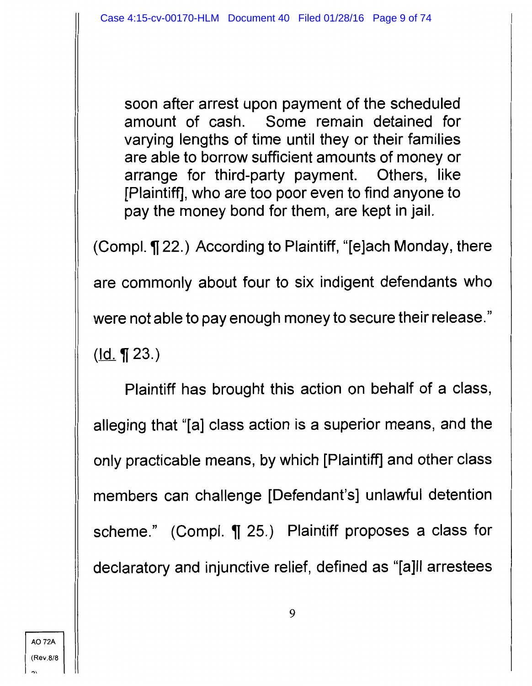soon after arrest upon payment of the scheduled amount of cash. Some remain detained for varying lengths of time until they or their families are able to borrow sufficient amounts of money or arrange for third-party payment. Others, like [Plaintiff], who are too poor even to find anyone to pay the money bond for them, are kept in jail.

(Compl. ¶ 22.) According to Plaintiff, "[e]ach Monday, there

are commonly about four to six indigent defendants who

were not able to pay enough money to secure their release."

 $(\underline{Id.} \P 23.)$ 

Plaintiff has brought this action on behalf of a class, alleging that "[a] class action is a superior means, and the only practicable means, by which [Plaintiff] and other class members can challenge [Defendant's] unlawful detention scheme." (Compl.  $\P$  25.) Plaintiff proposes a class for declaratory and injunctive relief, defined as "[a]ll arrestees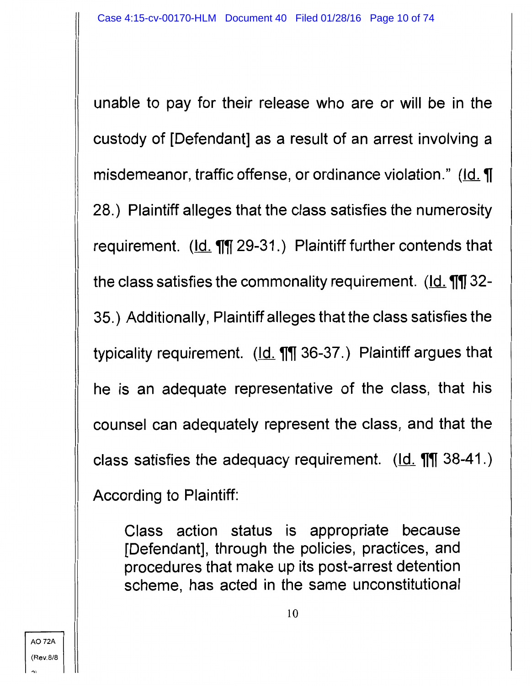unable to pay for their release who are or will be in the custody of [Defendant] as a result of an arrest involving a misdemeanor, traffic offense, or ordinance violation." (Id. ¶ 28.) Plaintiff alleges that the class satisfies the numerosity requirement. (Id. **11** 29-31.) Plaintiff further contends that the class satisfies the commonality requirement. (Id. **111** 32-35.) Additionally, Plaintiff alleges that the class satisfies the typicality requirement. (Id. **11** 36-37.) Plaintiff argues that he is an adequate representative of the class, that his counsel can adequately represent the class, and that the class satisfies the adequacy requirement. (Id. **111** 38-41.) According to Plaintiff:

Class action status is appropriate because [Defendant], through the policies, practices, and procedures that make up its post-arrest detention scheme, has acted in the same unconstitutional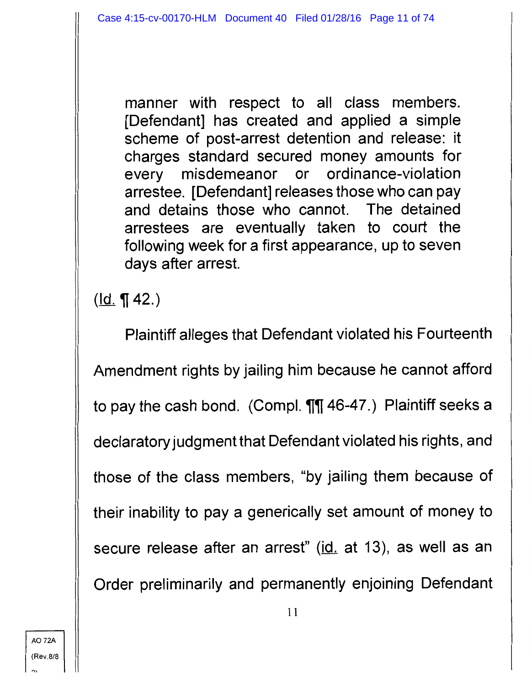manner with respect to all class members. [Defendant] has created and applied a simple scheme of post-arrest detention and release: it charges standard secured money amounts for every misdemeanor or ordinance-violation arrestee. [Defendant] releases those who can pay and detains those who cannot. The detained arrestees are eventually taken to court the following week for a first appearance, up to seven days after arrest.

 $(ld. \P 42.)$ 

Plaintiff alleges that Defendant violated his Fourteenth Amendment rights by jailing him because he cannot afford to pay the cash bond. (Compl.  $\P\P$  46-47.) Plaintiff seeks a declaratory judgment that Defendant violated his rights, and those of the class members, "by jailing them because of their inability to pay a generically set amount of money to secure release after an arrest" (id. at 13), as well as an Order preliminarily and permanently enjoining Defendant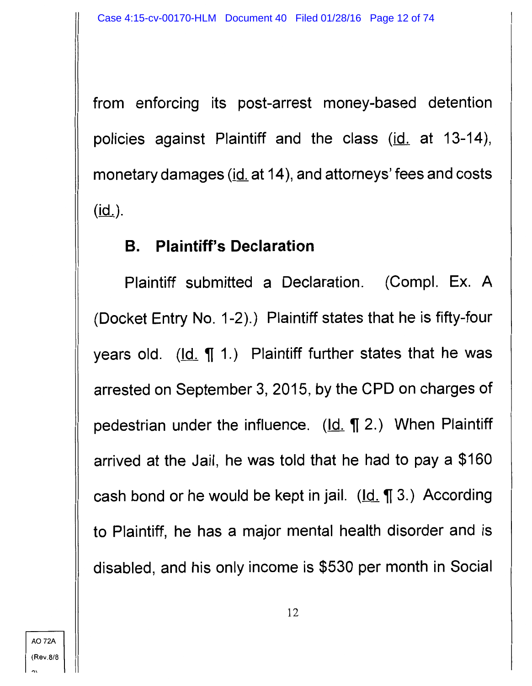from enforcing its post-arrest money-based detention policies against Plaintiff and the class (id. at 13-14), monetary damages (id. at 14), and attorneys' fees and costs  $(id_$ ).

#### **B. Plaintiff's Declaration**

Plaintiff submitted a Declaration. (Compl. Ex. A (Docket Entry No. 1-2).) Plaintiff states that he is fifty-four years old.  $(\underline{Id.} \P 1.)$  Plaintiff further states that he was arrested on September 3, 2015, by the CPD on charges of pedestrian under the influence. (Id. ¶ 2.) When Plaintiff arrived at the Jail, he was told that he had to pay a \$160 cash bond or he would be kept in jail.  $(\underline{Id}, \P \ 3.)$  According to Plaintiff, he has a major mental health disorder and is disabled, and his only income is \$530 per month in Social

AO 72A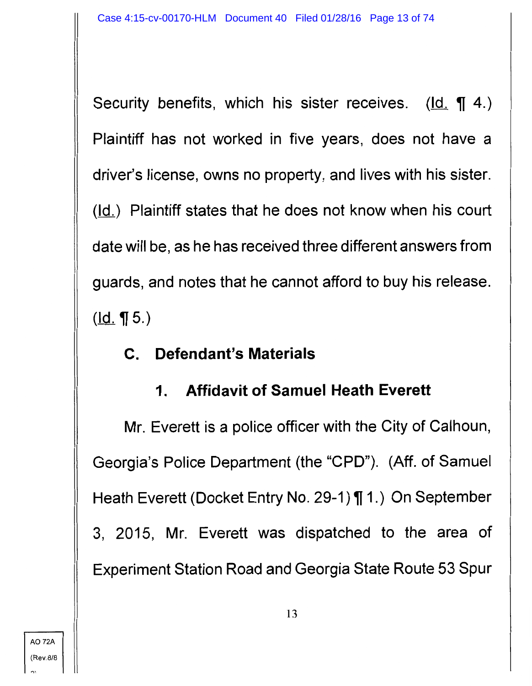Security benefits, which his sister receives. (Id. **1**4.) Plaintiff has not worked in five years, does not have a driver's license, owns no property, and lives with his sister.  $(d)$  Plaintiff states that he does not know when his court date will be, as he has received three different answers from guards, and notes that he cannot afford to buy his release.  $(\underline{Id.} \mathbf{T} 5.)$ 

### **C. Defendant's Materials**

# **1. Affidavit of Samuel Heath Everett**

Mr. Everett is a police officer with the City of Calhoun, Georgia's Police Department (the "CPD"). (Aff. of Samuel Heath Everett (Docket Entry No. 29-1) **[1.)** On September 3, 2015, Mr. Everett was dispatched to the area of Experiment Station Road and Georgia State Route 53 Spur

"'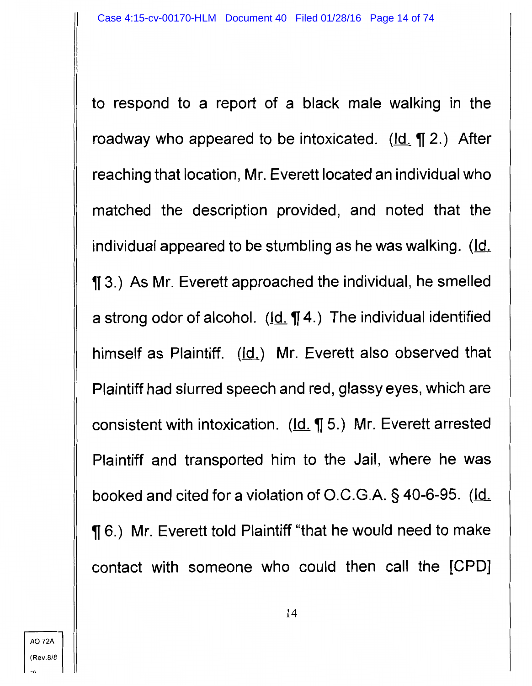to respond to a report of a black male walking in the roadway who appeared to be intoxicated. ( $Id. \P 2$ .) After reaching that location, Mr. Everett located an individual who matched the description provided, and noted that the individual appeared to be stumbling as he was walking. (Id.  $\P$  3.) As Mr. Everett approached the individual, he smelled a strong odor of alcohol.  $(\underline{Id.} \P 4.)$  The individual identified himself as Plaintiff. (Id.) Mr. Everett also observed that Plaintiff had slurred speech and red, glassy eyes, which are consistent with intoxication.  $(\underline{Id.} \P 5.)$  Mr. Everett arrested Plaintiff and transported him to the Jail, where he was booked and cited for a violation of O.C.G.A. § 40-6-95. (Id. **[6.]** Mr. Everett told Plaintiff "that he would need to make contact with someone who could then call the [CPD]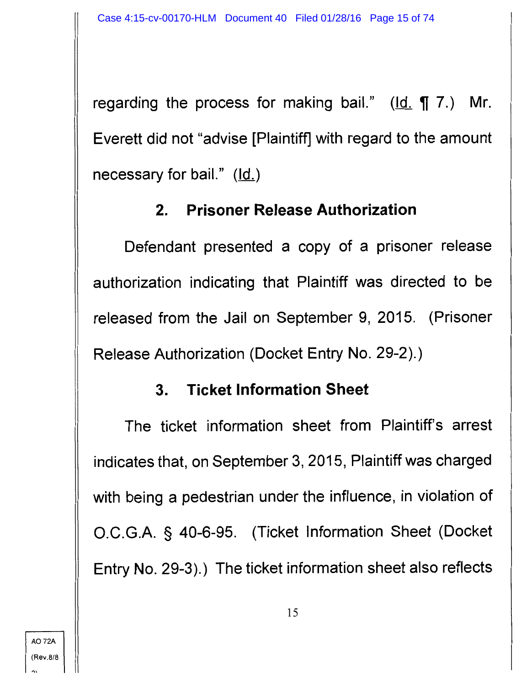regarding the process for making bail." (Id. ¶ 7.) Mr. Everett did not "advise [Plaintiff] with regard to the amount necessary for bail."  $(\underline{Id.})$ 

## **2. Prisoner Release Authorization**

Defendant presented a copy of a prisoner release authorization indicating that Plaintiff was directed to be released from the Jail on September 9, 2015. (Prisoner Release Authorization (Docket Entry No. 29-2).)

### **3. Ticket Information Sheet**

The ticket information sheet from Plaintiff's arrest indicates that, on September 3, 2015, Plaintiff was charged with being a pedestrian under the influence, in violation of O.C.G.A. § 40-6-95. (Ticket Information Sheet (Docket Entry No. 29-3).) The ticket information sheet also reflects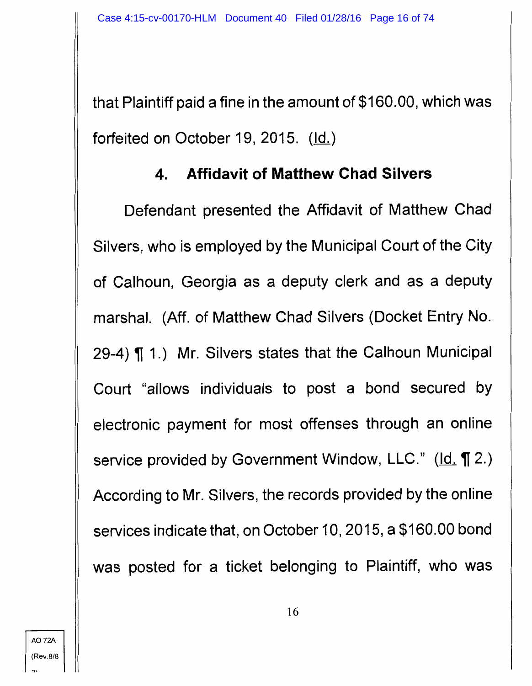that Plaintiff paid a fine in the amount of \$160.00, which was forfeited on October 19, 2015.  $(\underline{Id.})$ 

### **4. Affidavit of Matthew Chad Silvers**

Defendant presented the Affidavit of Matthew Chad Silvers, who is employed by the Municipal Court of the City of Calhoun, Georgia as a deputy clerk and as a deputy marshal. (Aff. of Matthew Chad Silvers (Docket Entry No. 29-4) **[11.]** Mr. Silvers states that the Calhoun Municipal Court "allows individuals to post a bond secured by electronic payment for most offenses through an online service provided by Government Window, LLC." (Id. 12.) According to Mr. Silvers, the records provided by the online services indicate that, on October 10, 2015, a \$160.00 bond was posted for a ticket belonging to Plaintiff, who was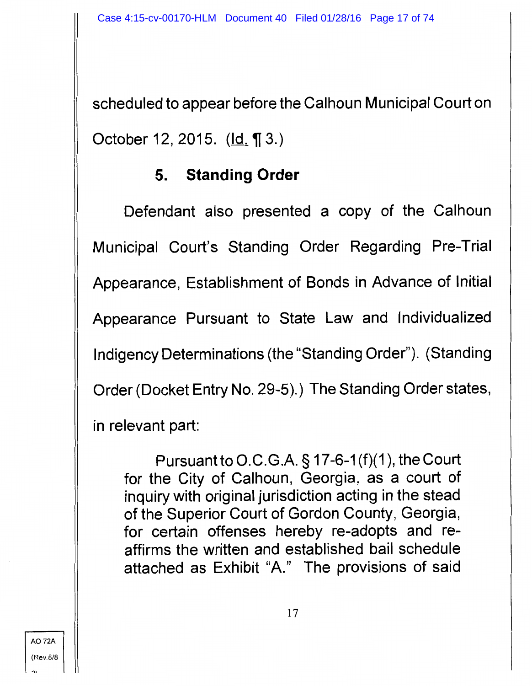scheduled to appear before the Calhoun Municipal Court on October 12, 2015.  $(\underline{Id.} \P 3.)$ 

## **5. Standing Order**

Defendant also presented a copy of the Calhoun Municipal Court's Standing Order Regarding Pre-Trial Appearance, Establishment of Bonds in Advance of Initial Appearance Pursuant to State Law and Individualized lndigency Determinations (the "Standing Order"). (Standing Order (Docket Entry No. 29-5).) The Standing Order states, in relevant part:

Pursuant to O.C.G.A.  $\S 17$ -6-1(f)(1), the Court for the City of Calhoun, Georgia, as a court of inquiry with original jurisdiction acting in the stead of the Superior Court of Gordon County, Georgia, for certain offenses hereby re-adopts and reaffirms the written and established bail schedule attached as Exhibit "A." The provisions of said

A072A (Rev.8/8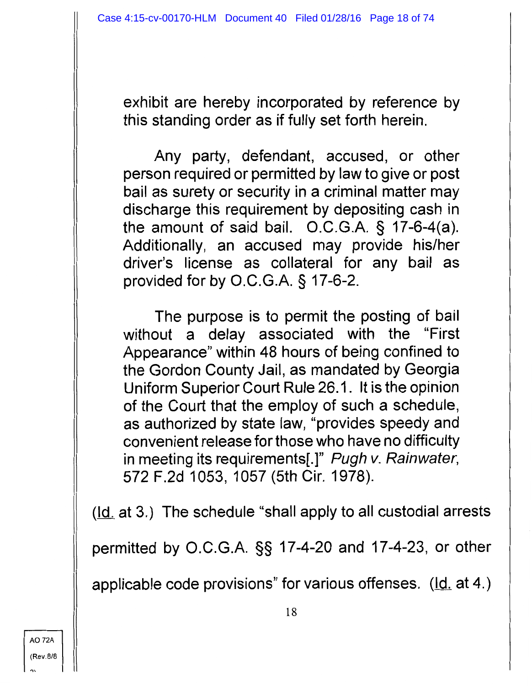exhibit are hereby incorporated by reference by this standing order as if fully set forth herein.

Any party, defendant, accused, or other person required or permitted by law to give or post bail as surety or security in a criminal matter may discharge this requirement by depositing cash in the amount of said bail. O.C.G.A. § 17-6-4(a). Additionally, an accused may provide his/her driver's license as collateral for any bail as provided for by O.C.G.A. § 17-6-2.

The purpose is to permit the posting of bail without a delay associated with the "First Appearance" within 48 hours of being confined to the Gordon County Jail, as mandated by Georgia Uniform Superior Court Rule 26.1. It is the opinion of the Court that the employ of such a schedule, as authorized by state law, "provides speedy and convenient release for those who have no difficulty in meeting its requirements[.]" Pugh v. Rainwater, 572 F.2d 1053, 1057 (5th Cir. 1978).

 $(d_i$  at 3.) The schedule "shall apply to all custodial arrests

permitted by O.C.G.A. §§ 17-4-20 and 17-4-23, or other

applicable code provisions" for various offenses.  $(\underline{Id}$  at 4.)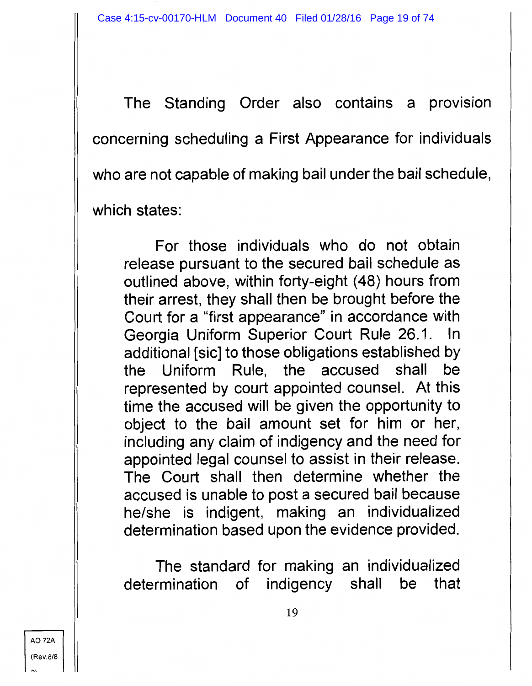The Standing Order also contains a provision concerning scheduling a First Appearance for individuals who are not capable of making bail under the bail schedule, which states:

For those individuals who do not obtain release pursuant to the secured bail schedule as outlined above, within forty-eight (48) hours from their arrest, they shall then be brought before the Court for a "first appearance" in accordance with Georgia Uniform Superior Court Rule 26.1. In additional [sic] to those obligations established by the Uniform Rule, the accused shall be represented by court appointed counsel. At this time the accused will be given the opportunity to object to the bail amount set for him or her, including any claim of indigency and the need for appointed legal counsel to assist in their release. The Court shall then determine whether the accused is unable to post a secured bail because he/she is indigent, making an individualized determination based upon the evidence provided.

The standard for making an individualized determination of indigency shall be that

A072A (Rev.8/8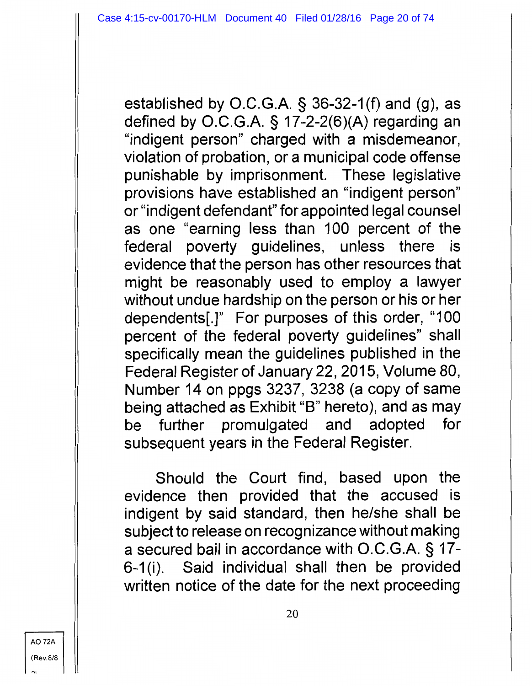established by O.C.G.A. § 36-32-1 (f) and (g), as defined by O.C.G.A. § 17-2-2(6)(A) regarding an "indigent person" charged with a misdemeanor, violation of probation, or a municipal code offense punishable by imprisonment. These legislative provisions have established an "indigent person" or "indigent defendant" for appointed legal counsel as one "earning less than 100 percent of the federal poverty guidelines, unless there is evidence that the person has other resources that might be reasonably used to employ a lawyer without undue hardship on the person or his or her dependents[.]" For purposes of this order, "100 percent of the federal poverty guidelines" shall specifically mean the guidelines published in the Federal Register of January 22, 2015, Volume 80, Number 14 on ppgs 3237, 3238 (a copy of same being attached as Exhibit "B" hereto), and as may be further promulgated and adopted for subsequent years in the Federal Register.

Should the Court find, based upon the evidence then provided that the accused is indigent by said standard, then he/she shall be subject to release on recognizance without making a secured bail in accordance with O.C.G.A. § 17- 6-1 (i). Said individual shall then be provided written notice of the date for the next proceeding

AO 72A (Rev.8/8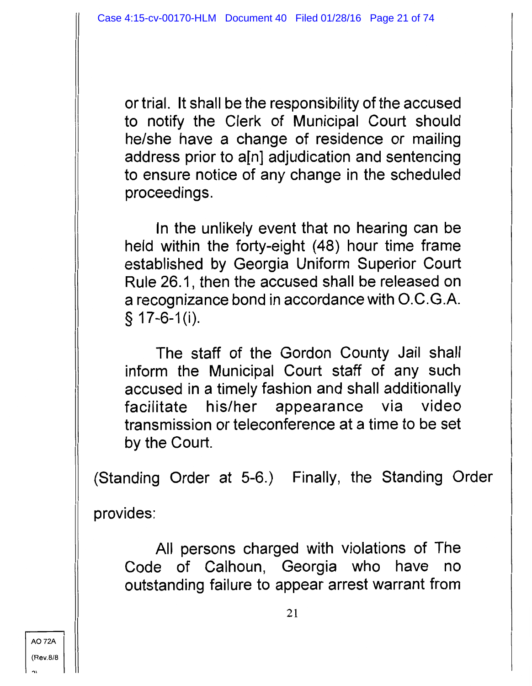or trial. It shall be the responsibility of the accused to notify the Clerk of Municipal Court should he/she have a change of residence or mailing address prior to a[n] adjudication and sentencing to ensure notice of any change in the scheduled proceedings.

In the unlikely event that no hearing can be held within the forty-eight (48) hour time frame established by Georgia Uniform Superior Court Rule 26.1, then the accused shall be released on a recognizance bond in accordance with O.C.G.A.  $§ 17-6-1(i).$ 

The staff of the Gordon County Jail shall inform the Municipal Court staff of any such accused in a timely fashion and shall additionally facilitate his/her appearance via video transmission or teleconference at a time to be set by the Court.

(Standing Order at 5-6.) Finally, the Standing Order

provides:

All persons charged with violations of The Code of Calhoun, Georgia who have no outstanding failure to appear arrest warrant from

A072A (Rev.8/8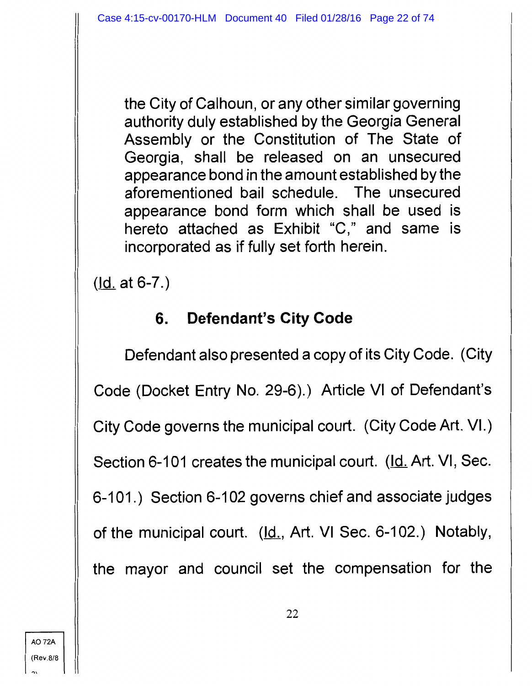the City of Calhoun, or any other similar governing authority duly established by the Georgia General Assembly or the Constitution of The State of Georgia, shall be released on an unsecured appearance bond in the amount established by the aforementioned bail schedule. The unsecured appearance bond form which shall be used is hereto attached as Exhibit "C," and same is incorporated as if fully set forth herein.

 $(Id. at 6-7.)$ </u>

### **6. Defendant's City Code**

Defendant also presented a copy of its City Code. (City Code (Docket Entry No. 29-6).) Article VI of Defendant's City Code governs the municipal court. (City Code Art. VI.) Section 6-101 creates the municipal court. (Id. Art. VI, Sec. 6-101.) Section 6-102 governs chief and associate judges of the municipal court. (Id., Art. VI Sec. 6-102.) Notably, the mayor and council set the compensation for the

 $\mathbf{v}$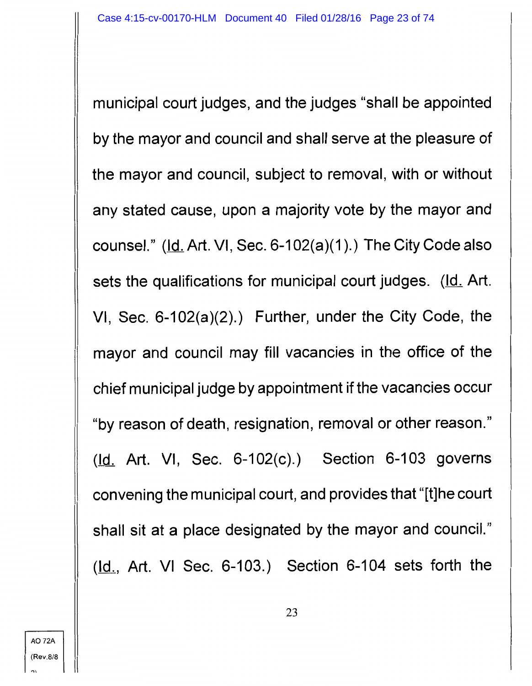municipal court judges, and the judges "shall be appointed by the mayor and council and shall serve at the pleasure of the mayor and council, subject to removal, with or without any stated cause, upon a majority vote by the mayor and counsel." ( $Id.$  Art. VI, Sec. 6-102(a)(1).) The City Code also sets the qualifications for municipal court judges. (Id. Art. VI, Sec. 6-102(a)(2).) Further, under the City Code, the mayor and council may fill vacancies in the office of the chief municipal judge by appointment if the vacancies occur "by reason of death, resignation, removal or other reason." (Id. Art. VI, Sec. 6-102(c).) Section 6-103 governs convening the municipal court, and provides that "[t]he court shall sit at a place designated by the mayor and council."  $(d_1, Art. VI Sec. 6-103.)$  Section 6-104 sets forth the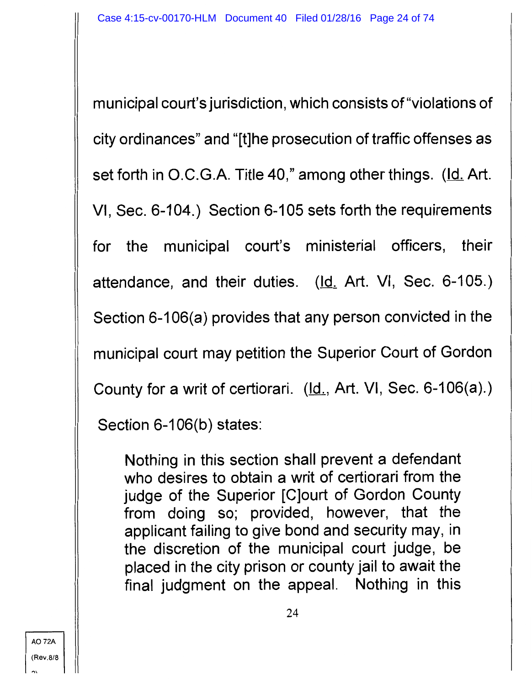municipal court's jurisdiction, which consists of "violations of city ordinances" and "[t]he prosecution of traffic offenses as set forth in O.C.G.A. Title 40," among other things. (Id. Art. VI, Sec. 6-104.) Section 6-105 sets forth the requirements for the municipal court's ministerial officers, their attendance, and their duties. (Id. Art. VI, Sec. 6-105.) Section 6-106(a) provides that any person convicted in the municipal court may petition the Superior Court of Gordon County for a writ of certiorari.  $(\underline{Id.}, Art. VI, Sec. 6-106(a).)$ 

Section 6-106(b) states:

Nothing in this section shall prevent a defendant who desires to obtain a writ of certiorari from the judge of the Superior [C]ourt of Gordon County from doing so; provided, however, that the applicant failing to give bond and security may, in the discretion of the municipal court judge, be placed in the city prison or county jail to await the final judgment on the appeal. Nothing in this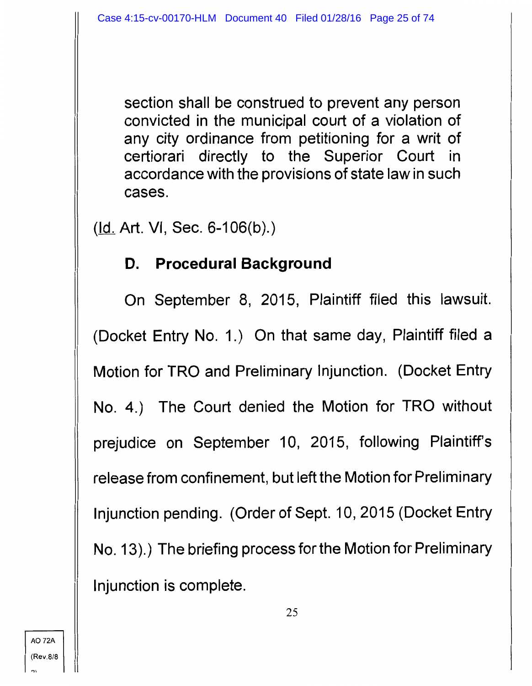section shall be construed to prevent any person convicted in the municipal court of a violation of any city ordinance from petitioning for a writ of certiorari directly to the Superior Court in accordance with the provisions of state law in such cases.

 $(d. Art. VI, Sec. 6-106(b))$ .

#### **D. Procedural Background**

On September 8, 2015, Plaintiff filed this lawsuit. (Docket Entry No. 1.) On that same day, Plaintiff filed a Motion for TRO and Preliminary Injunction. (Docket Entry No. 4.) The Court denied the Motion for TRO without prejudice on September 10, 2015, following Plaintiff's release from confinement, but left the Motion for Preliminary Injunction pending. (Order of Sept. 10, 2015 (Docket Entry No. 13).) The briefing process for the Motion for Preliminary Injunction is complete.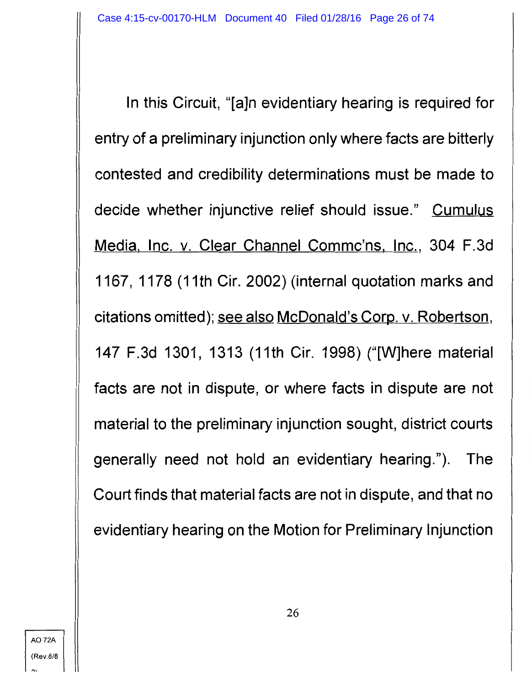In this Circuit, "[a]n evidentiary hearing is required for entry of a preliminary injunction only where facts are bitterly contested and credibility determinations must be made to decide whether injunctive relief should issue." Cumulus Media, Inc. v. Clear Channel Commc'ns, Inc., 304 F.3d 1167, 1178 (11th Cir. 2002) (internal quotation marks and citations omitted); see also McDonald's Corp. v. Robertson, 147 F.3d 1301, 1313 (11th Cir. 1998) ("[W]here material facts are not in dispute, or where facts in dispute are not material to the preliminary injunction sought, district courts generally need not hold an evidentiary hearing."). The Court finds that material facts are not in dispute, and that no evidentiary hearing on the Motion for Preliminary Injunction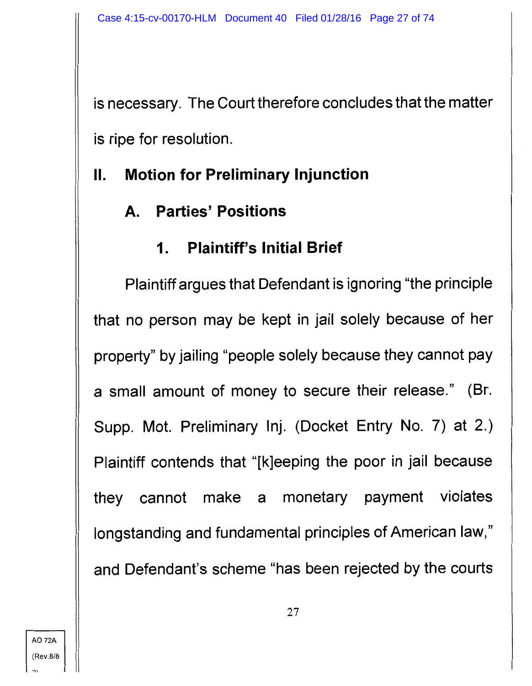is necessary. The Court therefore concludes that the matter is ripe for resolution.

# II. **Motion for Preliminary Injunction**

# **A. Parties' Positions**

# **1. Plaintiff's Initial Brief**

Plaintiff argues that Defendant is ignoring "the principle that no person may be kept in jail solely because of her property" by jailing "people solely because they cannot pay a small amount of money to secure their release." (Br. Supp. Mot. Preliminary lnj. (Docket Entry No. 7) at 2.) Plaintiff contends that "[k]eeping the poor in jail because they cannot make a monetary payment violates longstanding and fundamental principles of American law," and Defendant's scheme "has been rejected by the courts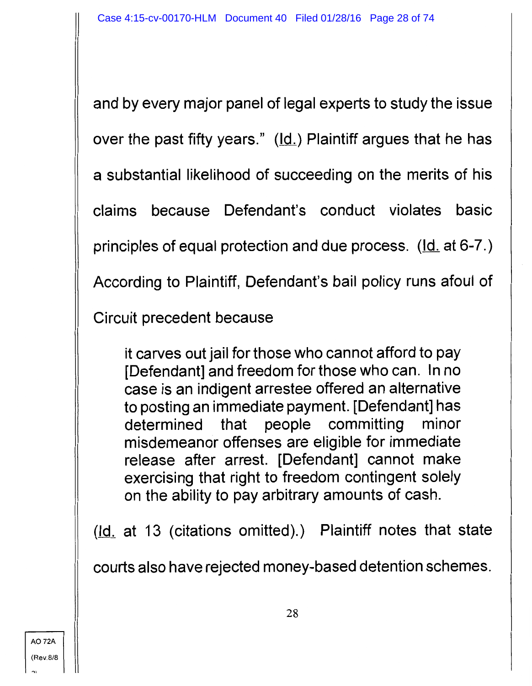and by every major panel of legal experts to study the issue over the past fifty years."  $(\underline{Id.})$  Plaintiff argues that he has a substantial likelihood of succeeding on the merits of his claims because Defendant's conduct violates basic principles of equal protection and due process.  $(\underline{Id}$  at 6-7.) According to Plaintiff, Defendant's bail policy runs afoul of

Circuit precedent because

it carves out jail for those who cannot afford to pay [Defendant] and freedom for those who can. In no case is an indigent arrestee offered an alternative to posting an immediate payment. [Defendant] has determined that people committing minor misdemeanor offenses are eligible for immediate release after arrest. [Defendant] cannot make exercising that right to freedom contingent solely on the ability to pay arbitrary amounts of cash.

 $(ld.$  at 13 (citations omitted).) Plaintiff notes that state

courts also have rejected money-based detention schemes.

..,,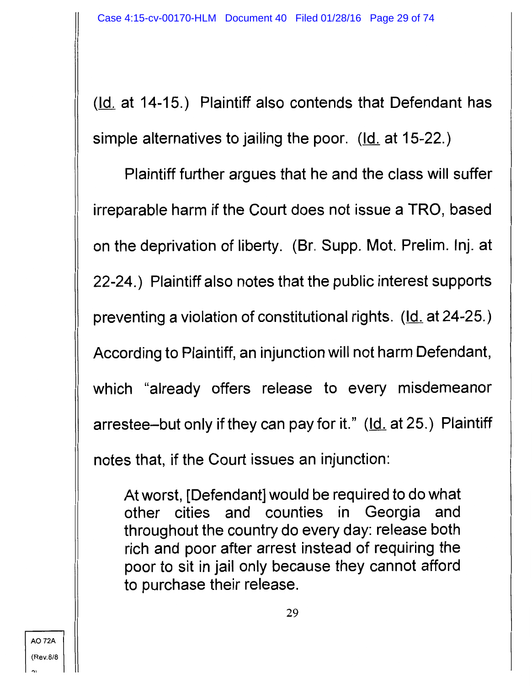$(ld.$  at 14-15.) Plaintiff also contends that Defendant has simple alternatives to jailing the poor.  $(d_i$  at 15-22.)

Plaintiff further argues that he and the class will suffer irreparable harm if the Court does not issue a TRO, based on the deprivation of liberty. (Br. Supp. Mot. Prelim. lnj. at 22-24.) Plaintiff also notes that the public interest supports preventing a violation of constitutional rights. (Id. at 24-25.) According to Plaintiff, an injunction will not harm Defendant, which "already offers release to every misdemeanor arrestee-but only if they can pay for it." (Id. at 25.) Plaintiff notes that, if the Court issues an injunction:

At worst, [Defendant] would be required to do what other cities and counties in Georgia and throughout the country do every day: release both rich and poor after arrest instead of requiring the poor to sit in jail only because they cannot afford to purchase their release.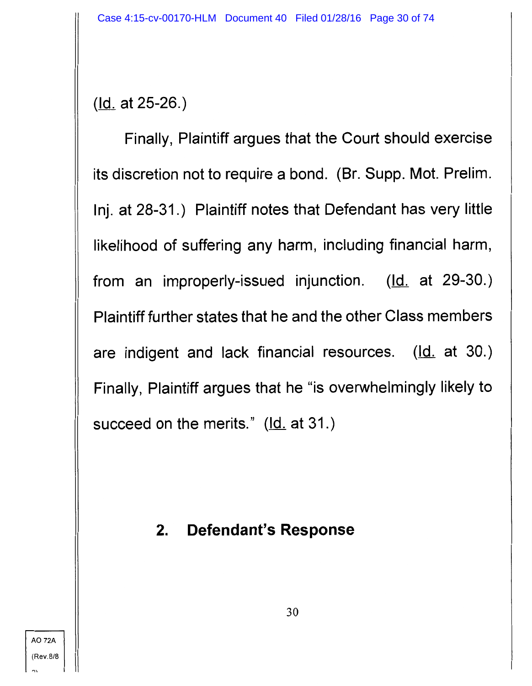(Id. at 25-26.)

Finally, Plaintiff argues that the Court should exercise its discretion not to require a bond. (Br. Supp. Mot. Prelim. lnj. at 28-31.) Plaintiff notes that Defendant has very little likelihood of suffering any harm, including financial harm, from an improperly-issued injunction.  $(\underline{Id}$  at 29-30.) Plaintiff further states that he and the other Class members are indigent and lack financial resources.  $(\underline{Id}$  at 30.) Finally, Plaintiff argues that he "is overwhelmingly likely to succeed on the merits."  $(\underline{Id}$  at 31.)

# **2. Defendant's Response**

AO 72A (Rev.8/8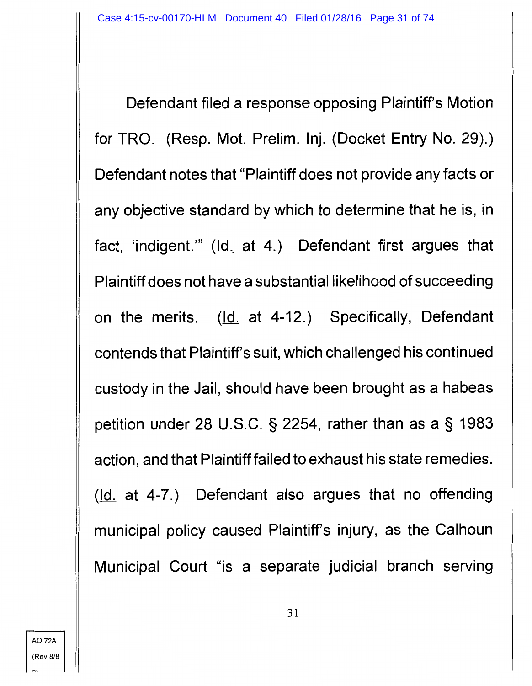Defendant filed a response opposing Plaintiff's Motion for TRO. (Resp. Mot. Prelim. lnj. (Docket Entry No. 29).) Defendant notes that "Plaintiff does not provide any facts or any objective standard by which to determine that he is, in fact, 'indigent.'" (Id. at 4.) Defendant first argues that Plaintiff does not have a substantial likelihood of succeeding on the merits. (Id. at 4-12.) Specifically, Defendant contends that Plaintiff's suit, which challenged his continued custody in the Jail, should have been brought as a habeas petition under 28 U.S.C. § 2254, rather than as a § 1983 action, and that Plaintiff failed to exhaust his state remedies.  $(kd. at 4-7.)$  Defendant also argues that no offending municipal policy caused Plaintiff's injury, as the Calhoun Municipal Court "is a separate judicial branch serving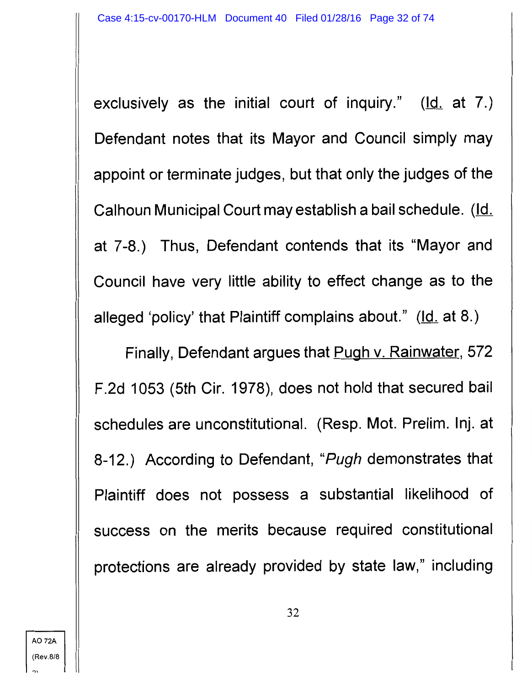exclusively as the initial court of inquiry."  $(\underline{Id}$  at 7.) Defendant notes that its Mayor and Council simply may appoint or terminate judges, but that only the judges of the Calhoun Municipal Court may establish a bail schedule. (Id. at 7-8.) Thus, Defendant contends that its "Mayor and Council have very little ability to effect change as to the alleged 'policy' that Plaintiff complains about."  $(\underline{Id.}$  at 8.)

Finally, Defendant argues that Pugh v. Rainwater, 572 F.2d 1053 (5th Cir. 1978), does not hold that secured bail schedules are unconstitutional. (Resp. Mot. Prelim. lnj. at 8-12.) According to Defendant, "Pugh demonstrates that Plaintiff does not possess a substantial likelihood of success on the merits because required constitutional protections are already provided by state law," including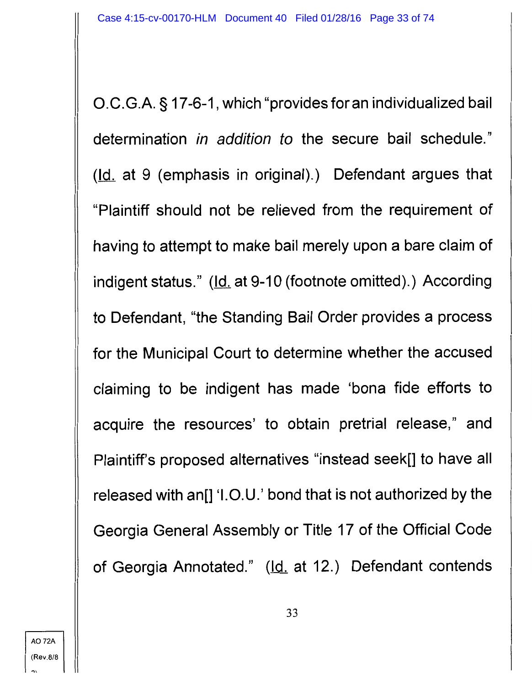O.C.G.A. § 17-6-1, which "provides for an individualized bail determination in addition to the secure bail schedule."  $(ld.$  at 9 (emphasis in original).) Defendant argues that "Plaintiff should not be relieved from the requirement of having to attempt to make bail merely upon a bare claim of indigent status." (Id. at 9-10 (footnote omitted).) According to Defendant, "the Standing Bail Order provides a process for the Municipal Court to determine whether the accused claiming to be indigent has made 'bona fide efforts to acquire the resources' to obtain pretrial release," and Plaintiff's proposed alternatives "instead seek[] to have all released with an[] '1.0.U.' bond that is not authorized by the Georgia General Assembly or Title 17 of the Official Code of Georgia Annotated." (Id. at 12.) Defendant contends

33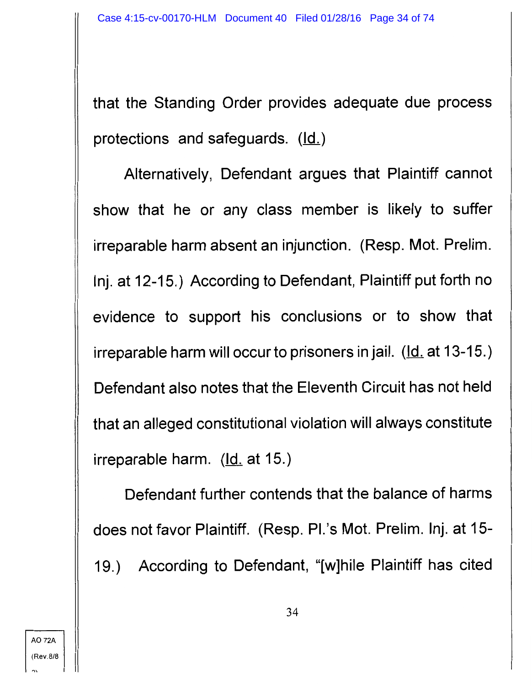that the Standing Order provides adequate due process protections and safeguards.  $(\underline{Id.})$ 

Alternatively, Defendant argues that Plaintiff cannot show that he or any class member is likely to suffer irreparable harm absent an injunction. (Resp. Mot. Prelim. lnj. at 12-15.) According to Defendant, Plaintiff put forth no evidence to support his conclusions or to show that irreparable harm will occur to prisoners in jail.  $(\underline{Id.}$  at 13-15.) Defendant also notes that the Eleventh Circuit has not held that an alleged constitutional violation will always constitute irreparable harm.  $Id.$  at 15.)</u>

Defendant further contends that the balance of harms does not favor Plaintiff. (Resp. Pl.'s Mot. Prelim. lnj. at 15- 19.) According to Defendant, "[w]hile Plaintiff has cited

A072A (Rev.8/8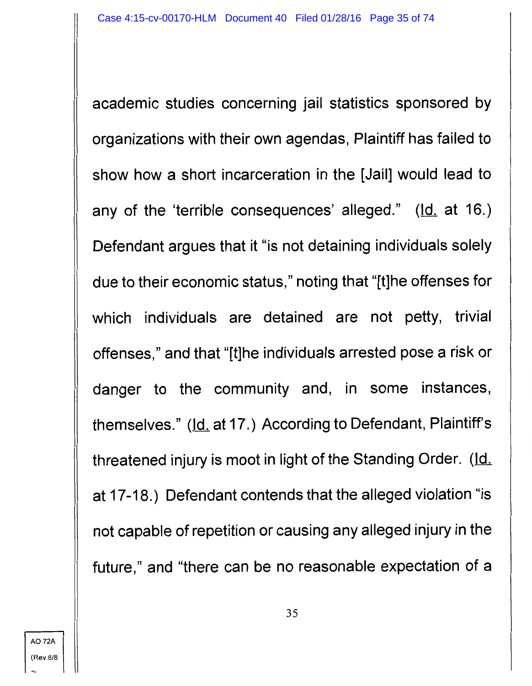academic studies concerning jail statistics sponsored by organizations with their own agendas, Plaintiff has failed to show how a short incarceration in the [Jail] would lead to any of the 'terrible consequences' alleged." (Id. at 16.) Defendant argues that it "is not detaining individuals solely due to their economic status," noting that "[t]he offenses for which individuals are detained are not petty, trivial offenses," and that "[t]he individuals arrested pose a risk or danger to the community and, in some instances, themselves." (Id. at 17.) According to Defendant, Plaintiff's threatened injury is moot in light of the Standing Order. (Id. at 17-18.) Defendant contends that the alleged violation "is not capable of repetition or causing any alleged injury in the future," and "there can be no reasonable expectation of a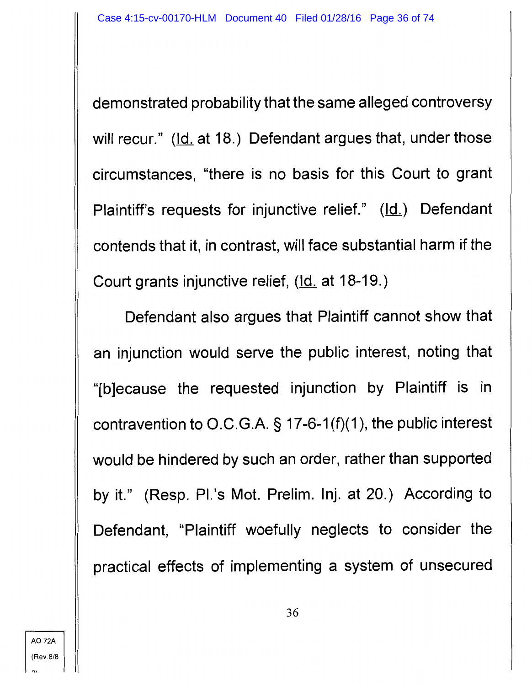demonstrated probability that the same alleged controversy will recur." (Id. at 18.) Defendant argues that, under those circumstances, "there is no basis for this Court to grant Plaintiff's requests for injunctive relief." (Id.) Defendant contends that it, in contrast, will face substantial harm if the Court grants injunctive relief, (Id. at 18-19.)

Defendant also argues that Plaintiff cannot show that an injunction would serve the public interest, noting that "[b]ecause the requested injunction by Plaintiff is in contravention to O.C.G.A. § 17-6-1 (f)(1 ), the public interest would be hindered by such an order, rather than supported by it." (Resp. Pl.'s Mot. Prelim. lnj. at 20.) According to Defendant, "Plaintiff woefully neglects to consider the practical effects of implementing a system of unsecured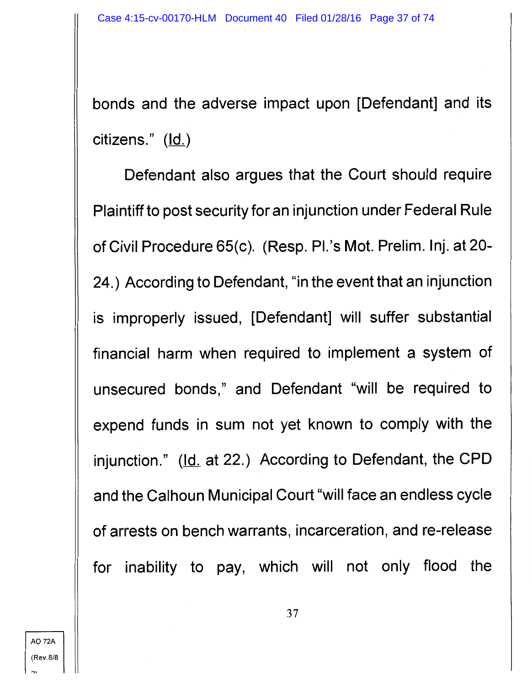bonds and the adverse impact upon [Defendant] and its citizens."  $(\underline{Id.})$ 

Defendant also argues that the Court should require Plaintiff to post security for an injunction under Federal Rule of Civil Procedure 65(c). (Resp. Pl.'s Mot. Prelim. lnj. at 20- 24.) According to Defendant, "in the event that an injunction is improperly issued, [Defendant] will suffer substantial financial harm when required to implement a system of unsecured bonds," and Defendant "will be required to expend funds in sum not yet known to comply with the injunction." (Id. at 22.) According to Defendant, the CPD and the Calhoun Municipal Court "will face an endless cycle of arrests on bench warrants, incarceration, and re-release for inability to pay, which will not only flood the

"'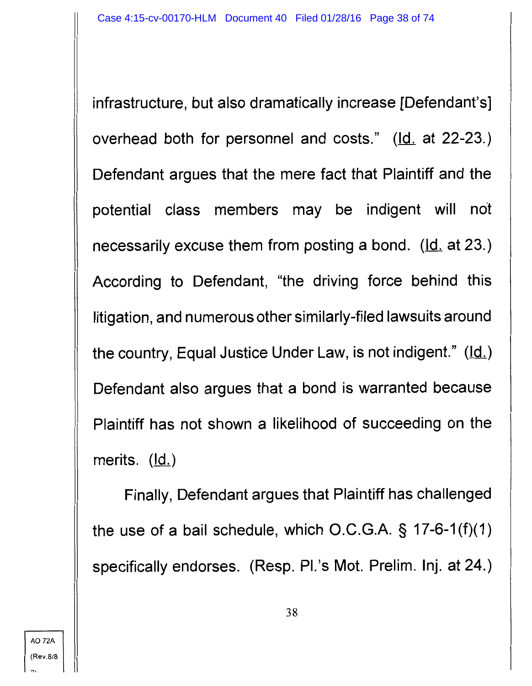infrastructure, but also dramatically increase [Defendant's] overhead both for personnel and costs."  $(\underline{Id}$  at 22-23.) Defendant argues that the mere fact that Plaintiff and the potential class members may be indigent will not necessarily excuse them from posting a bond. (Id. at 23.) According to Defendant, "the driving force behind this litigation, and numerous other similarly-filed lawsuits around the country, Equal Justice Under Law, is not indigent."  $(\underline{Id.})$ Defendant also argues that a bond is warranted because Plaintiff has not shown a likelihood of succeeding on the merits. (Id.)

Finally, Defendant argues that Plaintiff has challenged the use of a bail schedule, which O.C.G.A. § 17-6-1 (f)(1) specifically endorses. (Resp. Pl.'s Mot. Prelim. Inj. at 24.)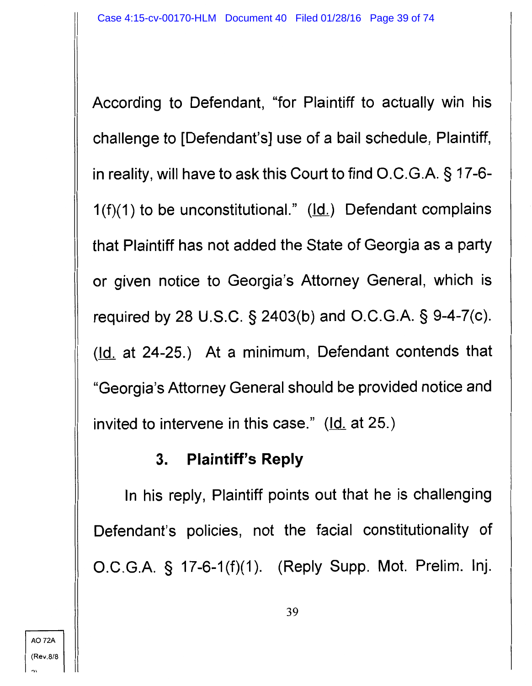According to Defendant, "for Plaintiff to actually win his challenge to [Defendant's] use of a bail schedule, Plaintiff, in reality, will have to ask this Court to find O.C.G.A. § 17-6-  $1(f)(1)$  to be unconstitutional." ( $\underline{Id.}$ ) Defendant complains that Plaintiff has not added the State of Georgia as a party or given notice to Georgia's Attorney General, which is required by 28 U.S.C. § 2403(b) and O.C.G.A. § 9-4-7(c). (Id. at 24-25.) At a minimum, Defendant contends that "Georgia's Attorney General should be provided notice and invited to intervene in this case."  $Id.$  at 25.)</u>

#### **3. Plaintiff's Reply**

In his reply, Plaintiff points out that he is challenging Defendant's policies, not the facial constitutionality of O.C.G.A. § 17-6-1 (f)(1 ). (Reply Supp. Mot. Prelim. lnj.

'"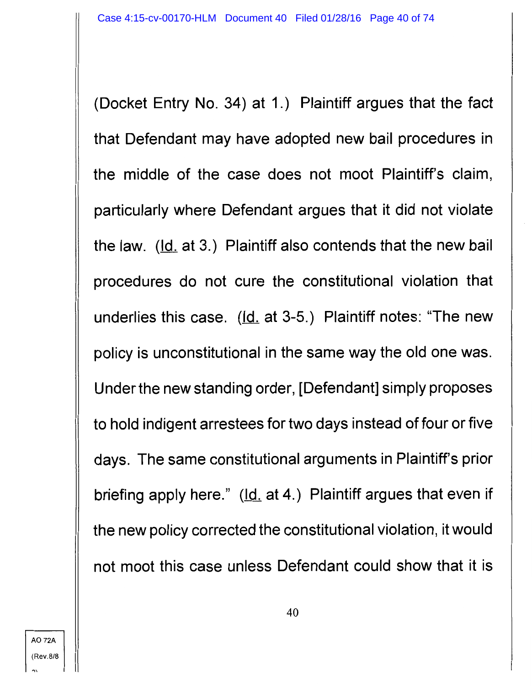(Docket Entry No. 34) at 1.) Plaintiff argues that the fact that Defendant may have adopted new bail procedures in the middle of the case does not moot Plaintiff's claim, particularly where Defendant argues that it did not violate the law.  $(ld. at 3.)$  Plaintiff also contends that the new bail procedures do not cure the constitutional violation that underlies this case.  $(ld.$  at 3-5.) Plaintiff notes: "The new policy is unconstitutional in the same way the old one was. Under the new standing order, [Defendant] simply proposes to hold indigent arrestees for two days instead of four or five days. The same constitutional arguments in Plaintiff's prior briefing apply here." (Id. at 4.) Plaintiff argues that even if the new policy corrected the constitutional violation, it would not moot this case unless Defendant could show that it is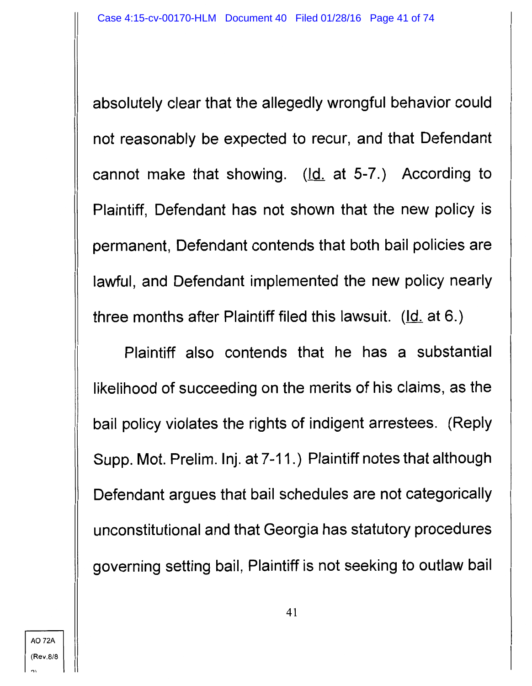absolutely clear that the allegedly wrongful behavior could not reasonably be expected to recur, and that Defendant cannot make that showing.  $(ld.$  at 5-7.) According to Plaintiff, Defendant has not shown that the new policy is permanent, Defendant contends that both bail policies are lawful, and Defendant implemented the new policy nearly three months after Plaintiff filed this lawsuit.  $(\underline{Id.}$  at 6.)

Plaintiff also contends that he has a substantial likelihood of succeeding on the merits of his claims, as the bail policy violates the rights of indigent arrestees. (Reply Supp. Mot. Prelim. lnj. at 7-11.) Plaintiff notes that although Defendant argues that bail schedules are not categorically unconstitutional and that Georgia has statutory procedures governing setting bail, Plaintiff is not seeking to outlaw bail

 $"$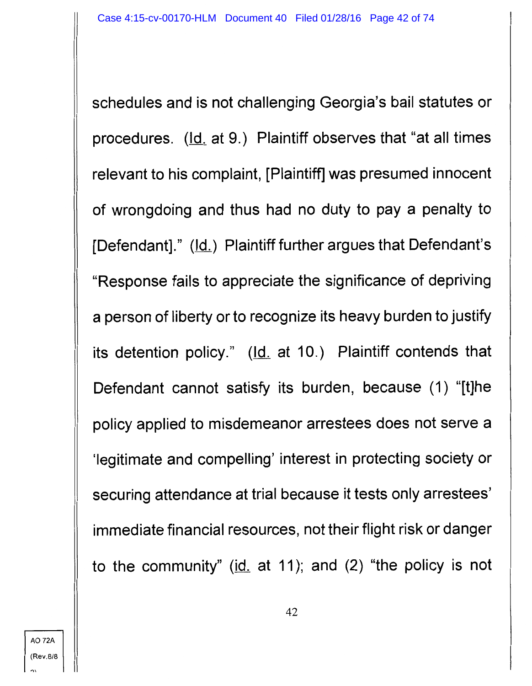schedules and is not challenging Georgia's bail statutes or procedures. (Id. at 9.) Plaintiff observes that "at all times relevant to his complaint, [Plaintiff] was presumed innocent of wrongdoing and thus had no duty to pay a penalty to [Defendant]."  $(\underline{Id.})$  Plaintiff further argues that Defendant's "Response fails to appreciate the significance of depriving a person of liberty or to recognize its heavy burden to justify its detention policy." (Id. at 10.) Plaintiff contends that Defendant cannot satisfy its burden, because (1) "[t]he policy applied to misdemeanor arrestees does not serve a 'legitimate and compelling' interest in protecting society or securing attendance at trial because it tests only arrestees' immediate financial resources, not their flight risk or danger to the community" ( $id$ . at 11); and (2) "the policy is not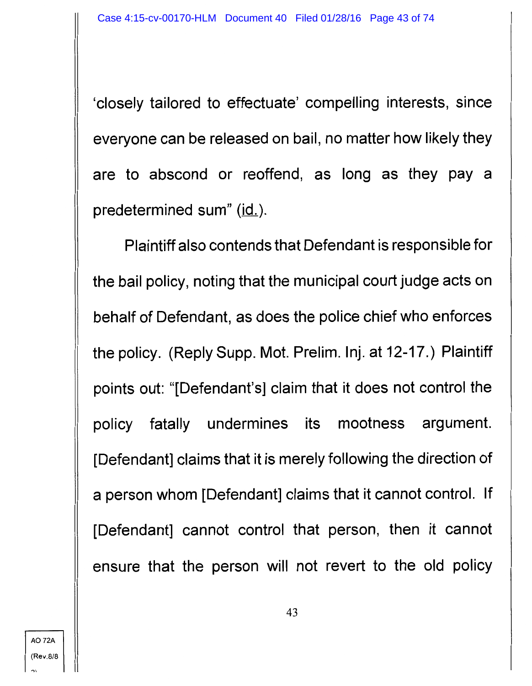'closely tailored to effectuate' compelling interests, since everyone can be released on bail, no matter how likely they are to abscond or reoffend, as long as they pay a predetermined sum" (id.).

Plaintiff also contends that Defendant is responsible for the bail policy, noting that the municipal court judge acts on behalf of Defendant, as does the police chief who enforces the policy. (Reply Supp. Mot. Prelim. lnj. at 12-17.) Plaintiff points out: "[Defendant's] claim that it does not control the policy fatally undermines its mootness argument. [Defendant] claims that it is merely following the direction of a person whom [Defendant] claims that it cannot control. If [Defendant] cannot control that person, then it cannot ensure that the person will not revert to the old policy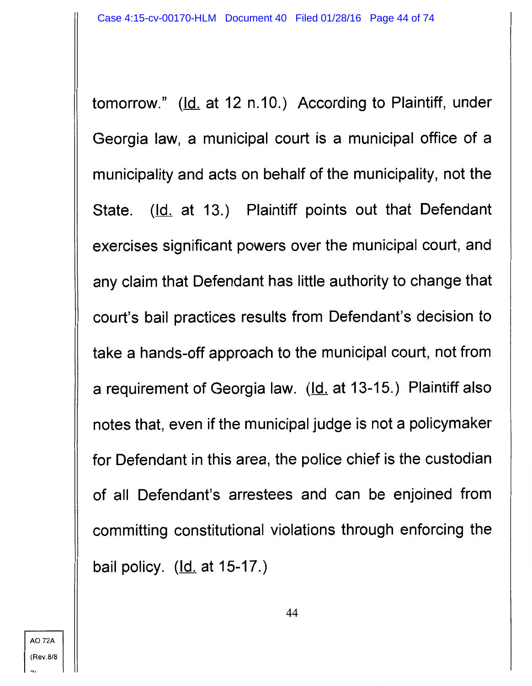tomorrow." (Id. at 12 n.10.) According to Plaintiff, under Georgia law, a municipal court is a municipal office of a municipality and acts on behalf of the municipality, not the State. (Id. at 13.) Plaintiff points out that Defendant exercises significant powers over the municipal court, and any claim that Defendant has little authority to change that court's bail practices results from Defendant's decision to take a hands-off approach to the municipal court, not from a requirement of Georgia law. (Id. at 13-15.) Plaintiff also notes that, even if the municipal judge is not a policymaker for Defendant in this area, the police chief is the custodian of all Defendant's arrestees and can be enjoined from committing constitutional violations through enforcing the bail policy. (Id. at 15-17.)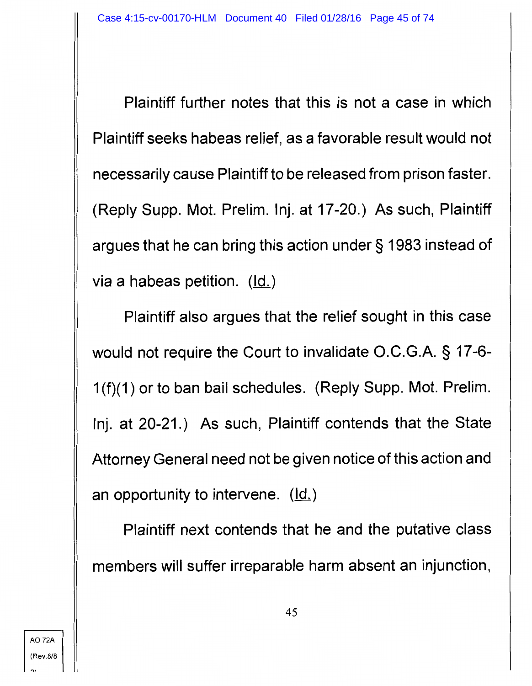Plaintiff further notes that this is not a case in which Plaintiff seeks habeas relief, as a favorable result would not necessarily cause Plaintiff to be released from prison faster. (Reply Supp. Mot. Prelim. lnj. at 17-20.) As such, Plaintiff argues that he can bring this action under§ 1983 instead of via a habeas petition.  $(ld)$ 

Plaintiff also argues that the relief sought in this case would not require the Court to invalidate O.C.G.A. § 17-6- 1 (f)(1) or to ban bail schedules. (Reply Supp. Mot. Prelim. lnj. at 20-21.) As such, Plaintiff contends that the State Attorney General need not be given notice of this action and an opportunity to intervene.  $(\underline{Id.})$ 

Plaintiff next contends that he and the putative class members will suffer irreparable harm absent an injunction,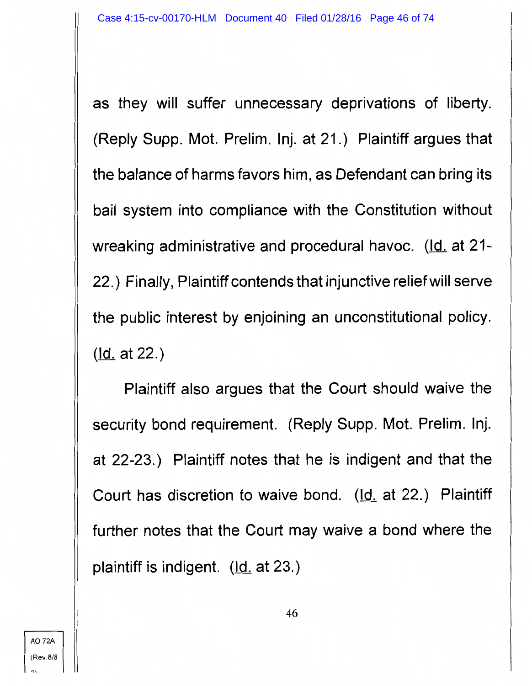as they will suffer unnecessary deprivations of liberty. (Reply Supp. Mot. Prelim. lnj. at 21.) Plaintiff argues that the balance of harms favors him, as Defendant can bring its bail system into compliance with the Constitution without wreaking administrative and procedural havoc. (Id. at 21-22.) Finally, Plaintiff contends that injunctive relief will serve the public interest by enjoining an unconstitutional policy. (Id. at 22.)

Plaintiff also argues that the Court should waive the security bond requirement. (Reply Supp. Mot. Prelim. lnj. at 22-23.) Plaintiff notes that he is indigent and that the Court has discretion to waive bond. (Id. at 22.) Plaintiff further notes that the Court may waive a bond where the plaintiff is indigent.  $(\underline{Id}$  at 23.)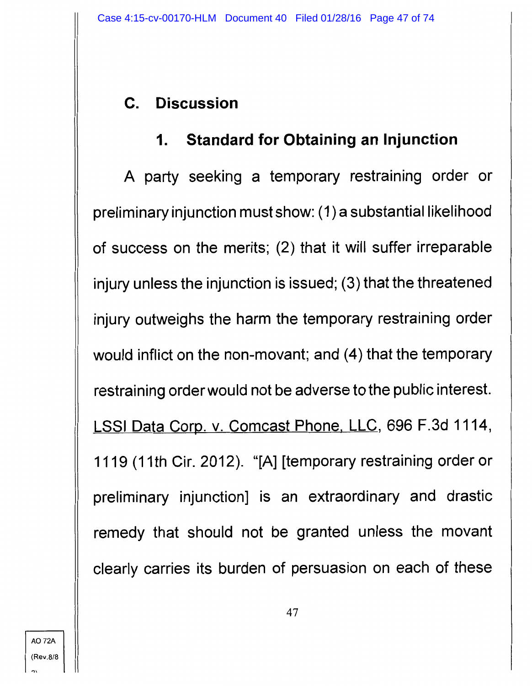# **C. Discussion**

# **1. Standard for Obtaining an Injunction**

A party seeking a temporary restraining order or preliminary injunction must show: (1) a substantial likelihood of success on the merits; (2) that it will suffer irreparable injury unless the injunction is issued; (3) that the threatened injury outweighs the harm the temporary restraining order would inflict on the non-movant; and (4) that the temporary restraining order would not be adverse to the public interest. LSSI Data Corp. v. Comcast Phone, LLC, 696 F.3d 1114, 1119 (11th Cir. 2012). "[A] [temporary restraining order or preliminary injunction] is an extraordinary and drastic remedy that should not be granted unless the movant clearly carries its burden of persuasion on each of these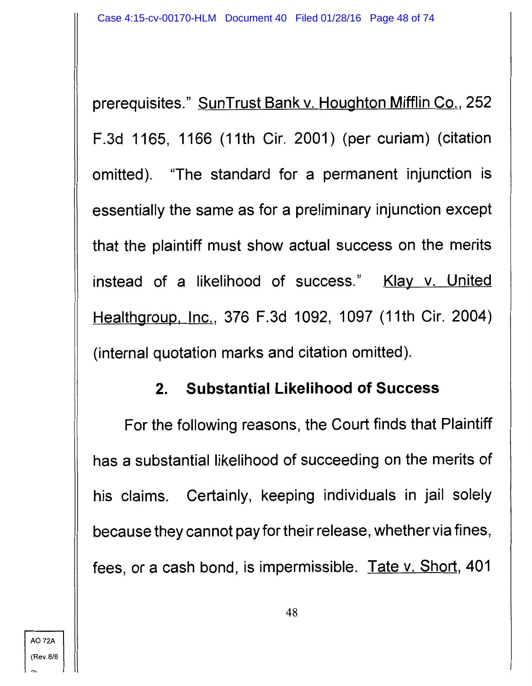prerequisites." SunTrust Bank v. Houghton Mifflin Co., 252 F.3d 1165, 1166 (11th Cir. 2001) (per curiam) (citation omitted). "The standard for a permanent injunction is essentially the same as for a preliminary injunction except that the plaintiff must show actual success on the merits instead of a likelihood of success." Klay v. United Healthgroup, Inc., 376 F.3d 1092, 1097 (11th Cir. 2004) (internal quotation marks and citation omitted).

### **2. Substantial Likelihood of Success**

For the following reasons, the Court finds that Plaintiff has a substantial likelihood of succeeding on the merits of his claims. Certainly, keeping individuals in jail solely because they cannot pay for their release, whether via fines, fees, or a cash bond, is impermissible. Tate v. Short, 401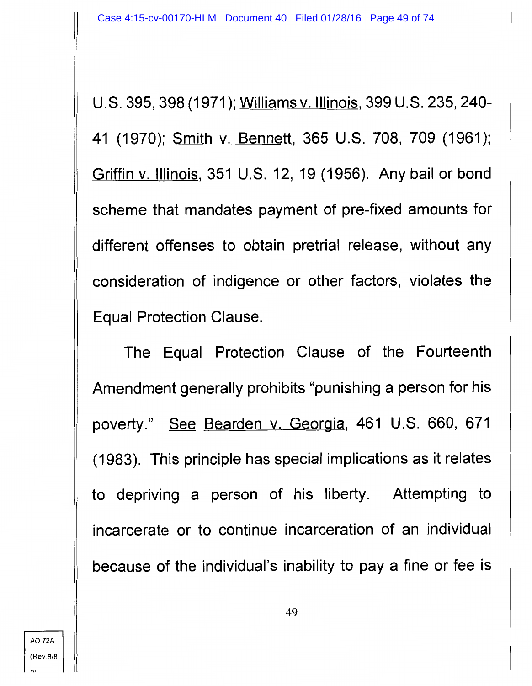U.S. 395, 398 (1971 ); Williams v. Illinois, 399 U.S. 235, 240- 41 (1970); Smith v. Bennett, 365 U.S. 708, 709 (1961); Griffin v. Illinois, 351 U.S. 12, 19 (1956). Any bail or bond scheme that mandates payment of pre-fixed amounts for different offenses to obtain pretrial release, without any consideration of indigence or other factors, violates the Equal Protection Clause.

The Equal Protection Clause of the Fourteenth Amendment generally prohibits "punishing a person for his poverty." See Bearden v. Georgia, 461 U.S. 660, 671 ( 1983 ). This principle has special implications as it relates to depriving a person of his liberty. Attempting to incarcerate or to continue incarceration of an individual because of the individual's inability to pay a fine or fee is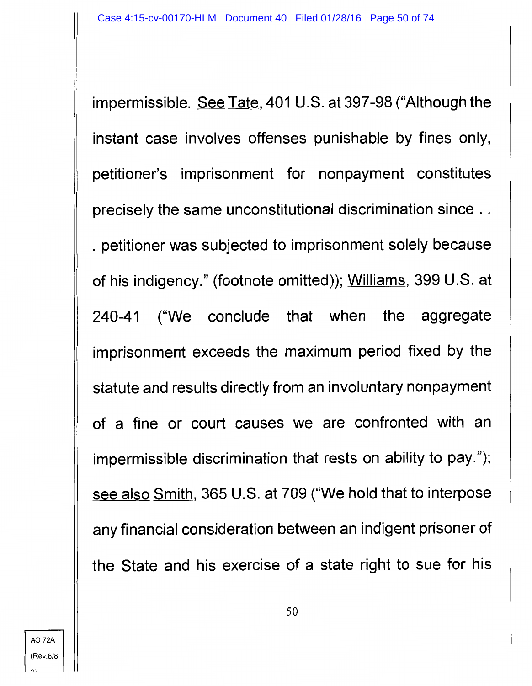impermissible. See Tate, 401 U.S. at 397-98 ("Although the instant case involves offenses punishable by fines only, petitioner's imprisonment for nonpayment constitutes precisely the same unconstitutional discrimination since .. . petitioner was subjected to imprisonment solely because of his indigency." (footnote omitted)); Williams, 399 U.S. at 240-41 ("We conclude that when the aggregate imprisonment exceeds the maximum period fixed by the statute and results directly from an involuntary nonpayment of a fine or court causes we are confronted with an impermissible discrimination that rests on ability to pay."); see also Smith, 365 U.S. at 709 ("We hold that to interpose any financial consideration between an indigent prisoner of the State and his exercise of a state right to sue for his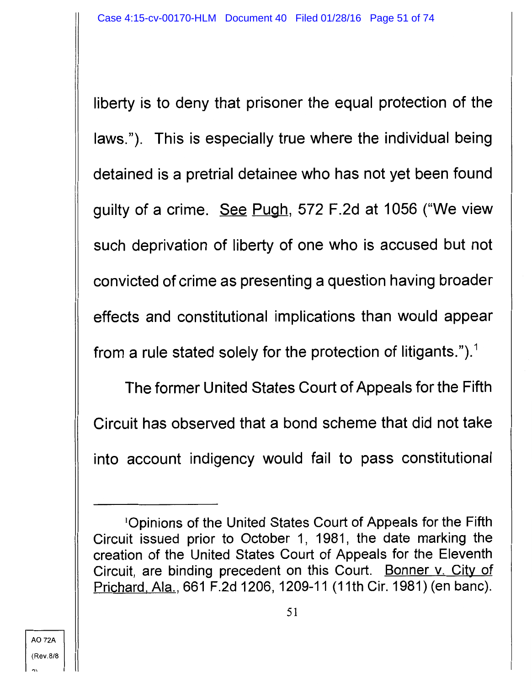liberty is to deny that prisoner the equal protection of the laws."). This is especially true where the individual being detained is a pretrial detainee who has not yet been found guilty of a crime. See Pugh, 572 F.2d at 1056 ("We view such deprivation of liberty of one who is accused but not convicted of crime as presenting a question having broader effects and constitutional implications than would appear from a rule stated solely for the protection of litigants.").<sup>1</sup>

The former United States Court of Appeals for the Fifth Circuit has observed that a bond scheme that did not take into account indigency would fail to pass constitutional

A072A (Rev.8/8

<sup>1</sup> 0pinions of the United States Court of Appeals for the Fifth Circuit issued prior to October 1, 1981, the date marking the creation of the United States Court of Appeals for the Eleventh Circuit, are binding precedent on this Court. Bonner v. City of Prichard. Ala., 661 F.2d 1206, 1209-11 (11th Cir. 1981) (en bane).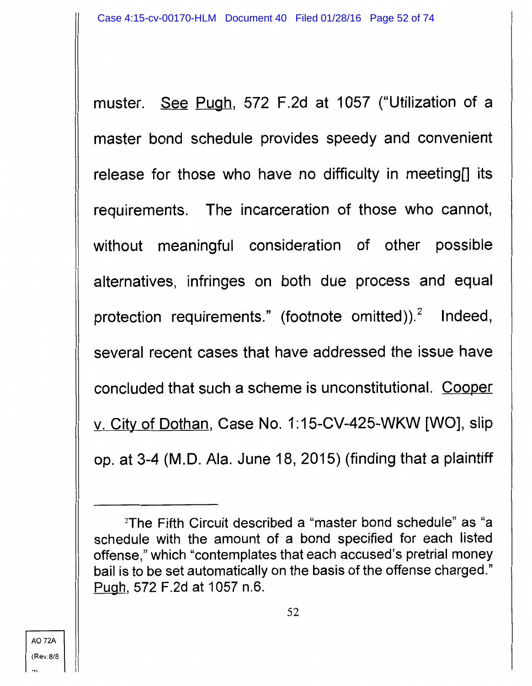muster. See Pugh, 572 F.2d at 1057 ("Utilization of a master bond schedule provides speedy and convenient release for those who have no difficulty in meeting[] its requirements. The incarceration of those who cannot, without meaningful consideration of other possible alternatives, infringes on both due process and equal protection requirements." (footnote omitted)).<sup>2</sup> Indeed, several recent cases that have addressed the issue have concluded that such a scheme is unconstitutional. Cooper v. City of Dothan, Case No. 1:15-CV-425-WKW [WO], slip op. at 3-4 (M.D. Ala. June 18, 2015) (finding that a plaintiff

A072A (Rev.8/8

<sup>2</sup> The Fifth Circuit described a "master bond schedule" as "a schedule with the amount of a bond specified for each listed offense," which "contemplates that each accused's pretrial money bail is to be set automatically on the basis of the offense charged." Pugh, 572 F.2d at 1057 n.6.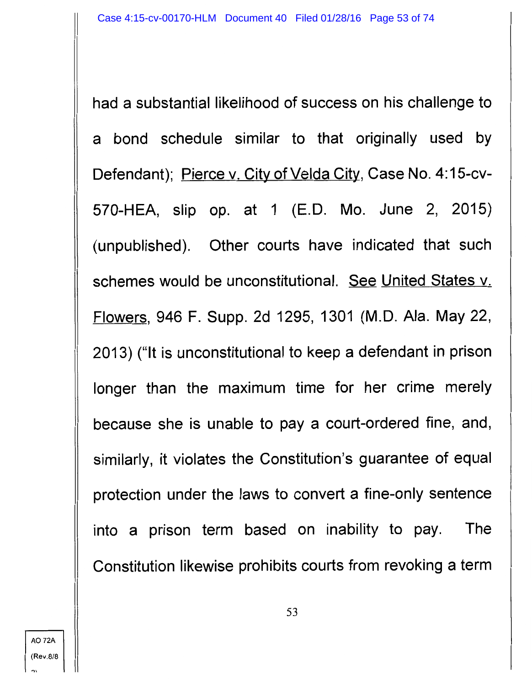had a substantial likelihood of success on his challenge to a bond schedule similar to that originally used by Defendant); Pierce v. City of Velda City, Case No. 4:15-cv-570-HEA, slip op. at 1 (E.D. Mo. June 2, 2015) (unpublished). Other courts have indicated that such schemes would be unconstitutional. See United States v. Flowers, 946 F. Supp. 2d 1295, 1301 (M.D. Ala. May 22, 2013) ("It is unconstitutional to keep a defendant in prison longer than the maximum time for her crime merely because she is unable to pay a court-ordered fine, and, similarly, it violates the Constitution's guarantee of equal protection under the laws to convert a fine-only sentence into a prison term based on inability to pay. The Constitution likewise prohibits courts from revoking a term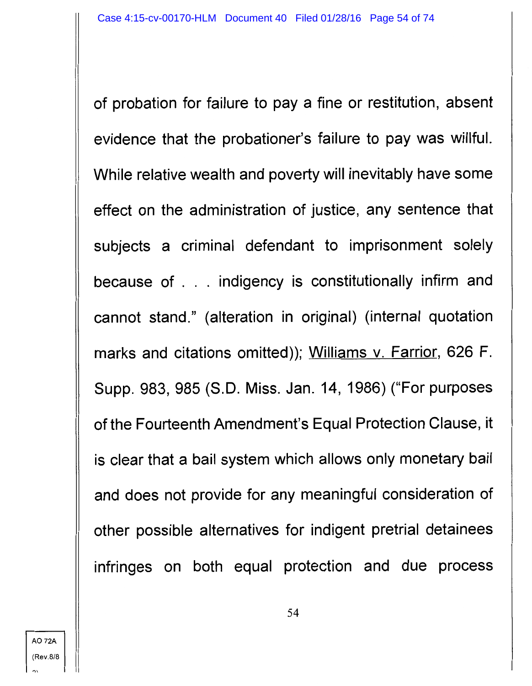of probation for failure to pay a fine or restitution, absent evidence that the probationer's failure to pay was willful. While relative wealth and poverty will inevitably have some effect on the administration of justice, any sentence that subjects a criminal defendant to imprisonment solely because of . . . indigency is constitutionally infirm and cannot stand." (alteration in original) (internal quotation marks and citations omitted)); Williams v. Farrior, 626 F. Supp. 983, 985 (S.D. Miss. Jan. 14, 1986) ("For purposes of the Fourteenth Amendment's Equal Protection Clause, it is clear that a bail system which allows only monetary bail and does not provide for any meaningful consideration of other possible alternatives for indigent pretrial detainees infringes on both equal protection and due process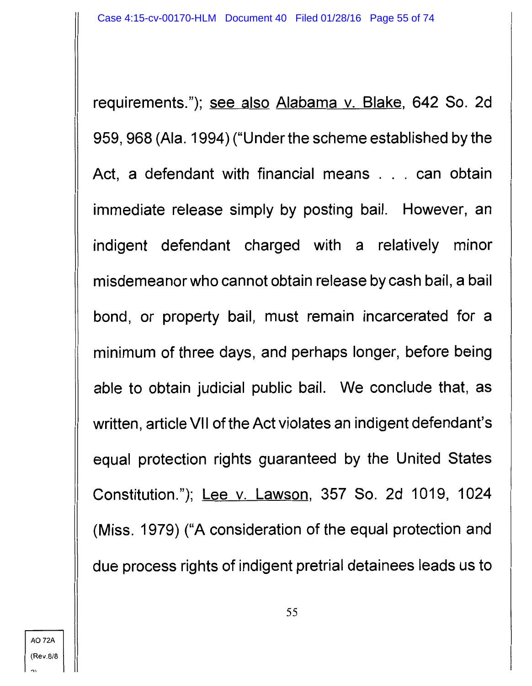requirements."); see also Alabama v. Blake, 642 So. 2d 959, 968 (Ala. 1994) ("Under the scheme established by the Act, a defendant with financial means . . . can obtain immediate release simply by posting bail. However, an indigent defendant charged with a relatively minor misdemeanor who cannot obtain release by cash bail, a bail bond, or property bail, must remain incarcerated for a minimum of three days, and perhaps longer, before being able to obtain judicial public bail. We conclude that, as written, article VII of the Act violates an indigent defendant's equal protection rights guaranteed by the United States Constitution."); Lee v. Lawson, 357 So. 2d 1019, 1024 (Miss. 1979) ("A consideration of the equal protection and due process rights of indigent pretrial detainees leads us to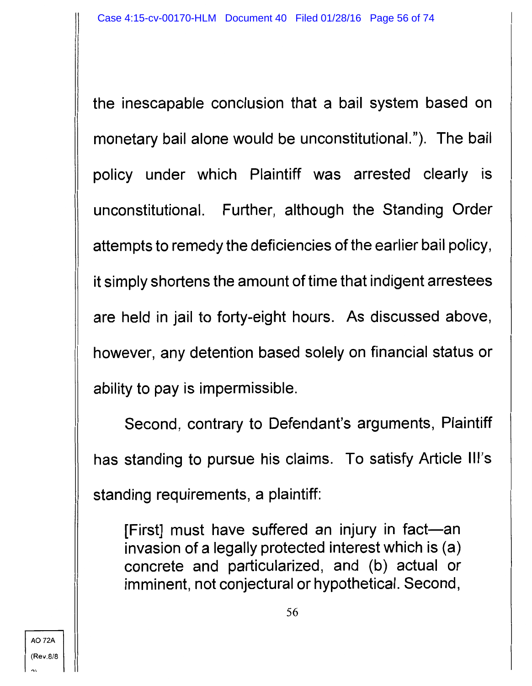the inescapable conclusion that a bail system based on monetary bail alone would be unconstitutional."). The bail policy under which Plaintiff was arrested clearly is unconstitutional. Further, although the Standing Order attempts to remedy the deficiencies of the earlier bail policy, it simply shortens the amount of time that indigent arrestees are held in jail to forty-eight hours. As discussed above, however, any detention based solely on financial status or ability to pay is impermissible.

Second, contrary to Defendant's arguments, Plaintiff has standing to pursue his claims. To satisfy Article Ill's standing requirements, a plaintiff:

[First] must have suffered an injury in fact-an invasion of a legally protected interest which is (a) concrete and particularized, and (b) actual or imminent, not conjectural or hypothetical. Second,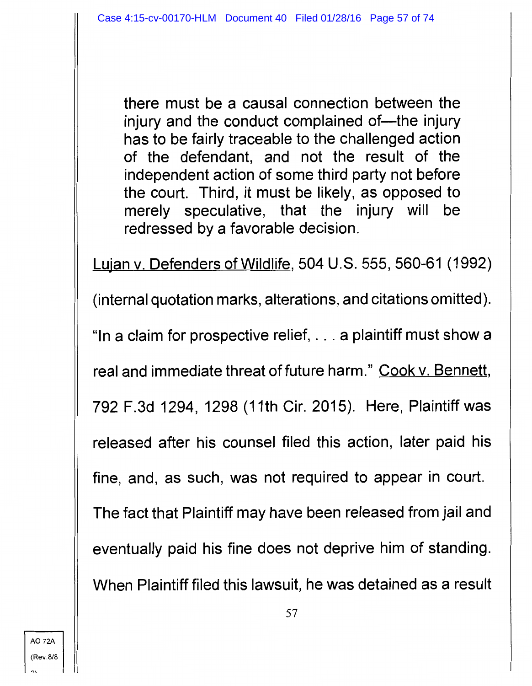there must be a causal connection between the injury and the conduct complained of—the injury has to be fairly traceable to the challenged action of the defendant, and not the result of the independent action of some third party not before the court. Third, it must be likely, as opposed to merely speculative, that the injury will be redressed by a favorable decision.

Lujan v. Defenders of Wildlife, 504 U.S. 555, 560-61 (1992) (internal quotation marks, alterations, and citations omitted). "In a claim for prospective relief, ... a plaintiff must show a real and immediate threat of future harm." Cook v. Bennett, 792 F.3d 1294, 1298 (11th Cir. 2015). Here, Plaintiff was released after his counsel filed this action, later paid his fine, and, as such, was not required to appear in court. The fact that Plaintiff may have been released from jail and eventually paid his fine does not deprive him of standing. When Plaintiff filed this lawsuit, he was detained as a result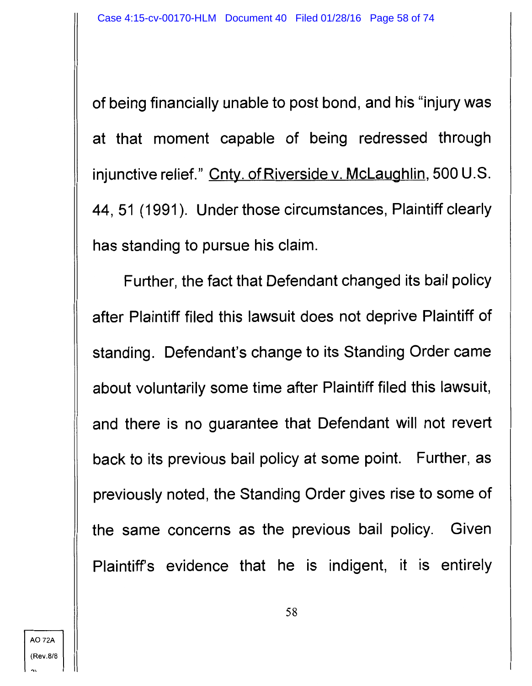of being financially unable to post bond, and his "injury was at that moment capable of being redressed through injunctive relief." Cnty. of Riverside v. McLaughlin, 500 U.S. 44, 51 (1991). Under those circumstances, Plaintiff clearly has standing to pursue his claim.

Further, the fact that Defendant changed its bail policy after Plaintiff filed this lawsuit does not deprive Plaintiff of standing. Defendant's change to its Standing Order came about voluntarily some time after Plaintiff filed this lawsuit, and there is no guarantee that Defendant will not revert back to its previous bail policy at some point. Further, as previously noted, the Standing Order gives rise to some of the same concerns as the previous bail policy. Given Plaintiff's evidence that he is indigent, it is entirely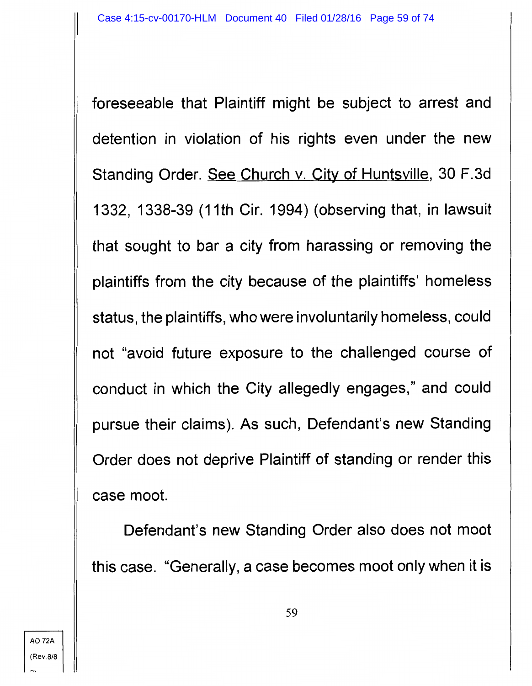foreseeable that Plaintiff might be subject to arrest and detention in violation of his rights even under the new Standing Order. See Church v. City of Huntsville, 30 F.3d 1332, 1338-39 (11th Cir. 1994) (observing that, in lawsuit that sought to bar a city from harassing or removing the plaintiffs from the city because of the plaintiffs' homeless status, the plaintiffs, who were involuntarily homeless, could not "avoid future exposure to the challenged course of conduct in which the City allegedly engages," and could pursue their claims). As such, Defendant's new Standing Order does not deprive Plaintiff of standing or render this case moot.

Defendant's new Standing Order also does not moot this case. "Generally, a case becomes moot only when it is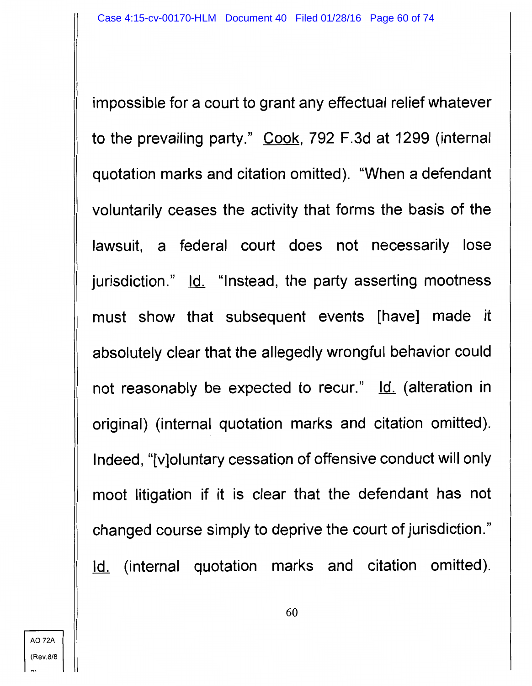impossible for a court to grant any effectual relief whatever to the prevailing party." Cook, 792 F.3d at 1299 (internal quotation marks and citation omitted). "When a defendant voluntarily ceases the activity that forms the basis of the lawsuit, a federal court does not necessarily lose jurisdiction." Id. "Instead, the party asserting mootness must show that subsequent events [have] made it absolutely clear that the allegedly wrongful behavior could not reasonably be expected to recur." Id. (alteration in original) (internal quotation marks and citation omitted). Indeed, "[v]oluntary cessation of offensive conduct will only moot litigation if it is clear that the defendant has not changed course simply to deprive the court of jurisdiction." Id. (internal quotation marks and citation omitted).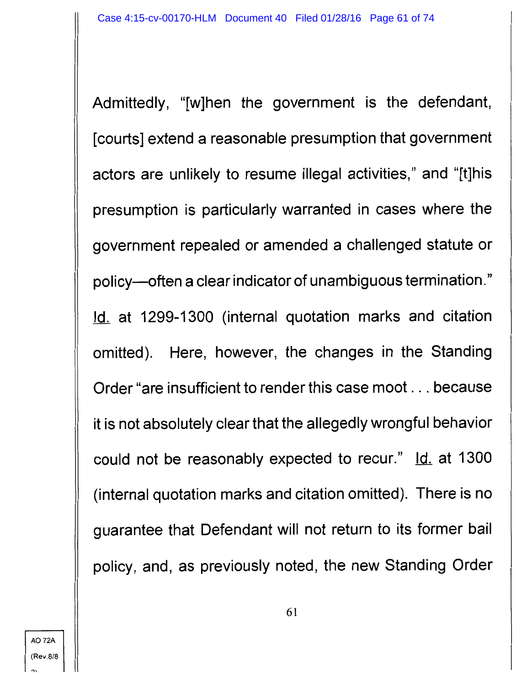Admittedly, "[w]hen the government is the defendant, [courts] extend a reasonable presumption that government actors are unlikely to resume illegal activities," and "[t]his presumption is particularly warranted in cases where the government repealed or amended a challenged statute or policy-often a clear indicator of unambiguous termination." Id. at 1299-1300 (internal quotation marks and citation omitted). Here, however, the changes in the Standing Order "are insufficient to render this case moot ... because it is not absolutely clear that the allegedly wrongful behavior could not be reasonably expected to recur." Id. at 1300 (internal quotation marks and citation omitted). There is no guarantee that Defendant will not return to its former bail policy, and, as previously noted, the new Standing Order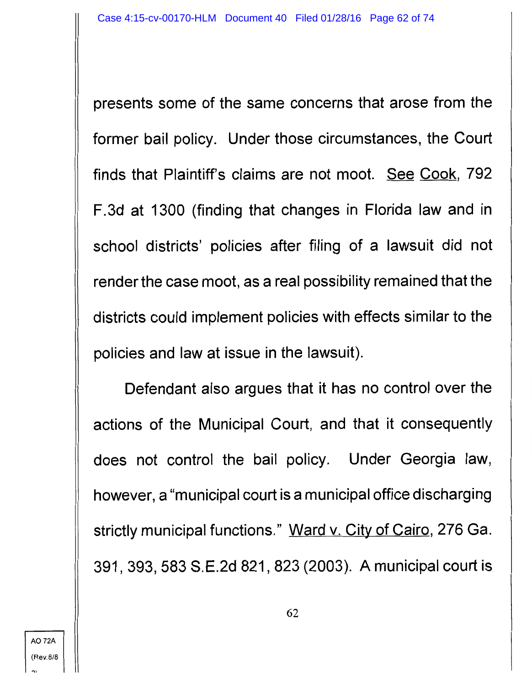presents some of the same concerns that arose from the former bail policy. Under those circumstances, the Court finds that Plaintiff's claims are not moot. See Cook, 792 F.3d at 1300 (finding that changes in Florida law and in school districts' policies after filing of a lawsuit did not render the case moot, as a real possibility remained that the districts could implement policies with effects similar to the policies and law at issue in the lawsuit).

Defendant also argues that it has no control over the actions of the Municipal Court, and that it consequently does not control the bail policy. Under Georgia law, however, a "municipal court is a municipal office discharging strictly municipal functions." Ward v. City of Cairo, 276 Ga. 391, 393, 583 S.E.2d 821, 823 (2003). A municipal court is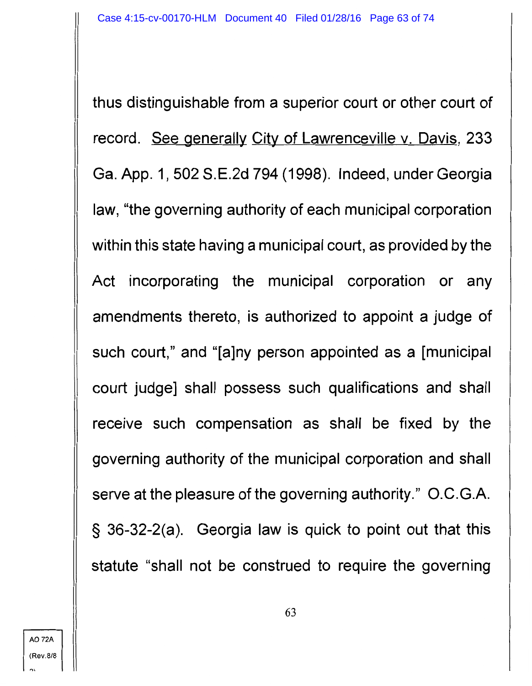thus distinguishable from a superior court or other court of record. See generally City of Lawrenceville v. Davis, 233 Ga. App. 1, 502 S.E.2d 794 (1998). Indeed, under Georgia law, "the governing authority of each municipal corporation within this state having a municipal court, as provided by the Act incorporating the municipal corporation or any amendments thereto, is authorized to appoint a judge of such court," and "[a]ny person appointed as a [municipal court judge] shall possess such qualifications and shall receive such compensation as shall be fixed by the governing authority of the municipal corporation and shall serve at the pleasure of the governing authority." O.C.G.A. § 36-32-2(a). Georgia law is quick to point out that this statute "shall not be construed to require the governing

 $"$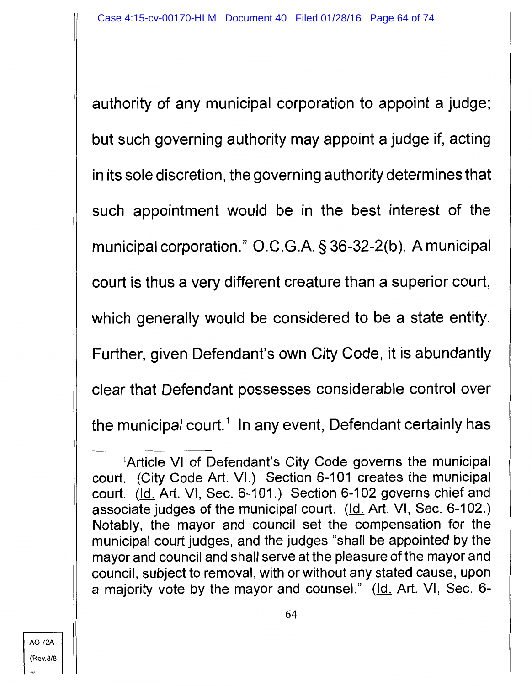authority of any municipal corporation to appoint a judge; but such governing authority may appoint a judge if, acting in its sole discretion, the governing authority determines that such appointment would be in the best interest of the municipal corporation." O.C.G.A. § 36-32-2(b). A municipal court is thus a very different creature than a superior court, which generally would be considered to be a state entity. Further, given Defendant's own City Code, it is abundantly clear that Defendant possesses considerable control over the municipal court.<sup>1</sup> In any event, Defendant certainly has

<sup>&#</sup>x27;Article VI of Defendant's City Code governs the municipal court. (City Code Art. VI.) Section 6-101 creates the municipal court. (Id. Art. VI, Sec. 6-101.) Section 6-102 governs chief and associate judges of the municipal court.  $(Id. Art. VI, Sec. 6-102.)$ </u> Notably, the mayor and council set the compensation for the municipal court judges, and the judges "shall be appointed by the mayor and council and shall serve at the pleasure of the mayor and council, subject to removal, with or without any stated cause, upon a majority vote by the mayor and counsel." (Id. Art. VI, Sec. 6-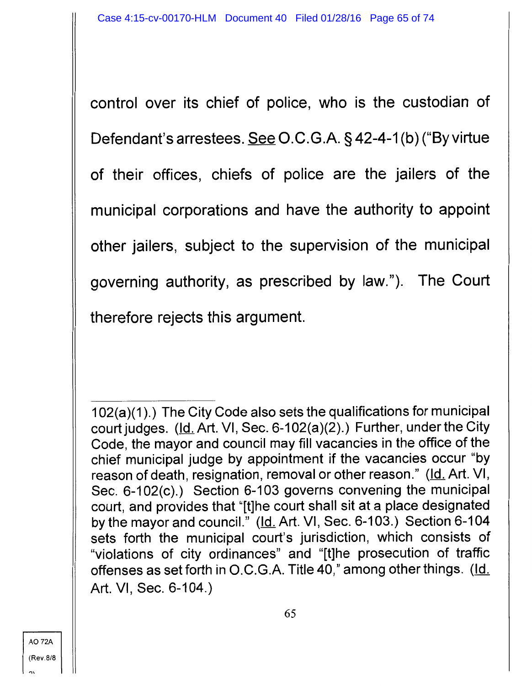control over its chief of police, who is the custodian of Defendant's arrestees. See O.C.G.A. § 42-4-1(b) ("By virtue of their offices, chiefs of police are the jailers of the municipal corporations and have the authority to appoint other jailers, subject to the supervision of the municipal governing authority, as prescribed by law."). The Court therefore rejects this argument.

102(a)(1 ).) The City Code also sets the qualifications for municipal court judges. (Id. Art. VI, Sec. 6-102(a)(2).) Further, under the City Code, the mayor and council may fill vacancies in the office of the chief municipal judge by appointment if the vacancies occur "by reason of death, resignation, removal or other reason." (Id. Art. VI, Sec. 6-102(c).) Section 6-103 governs convening the municipal court, and provides that "[t]he court shall sit at a place designated by the mayor and council." (Id. Art. VI, Sec. 6-103.) Section 6-104 sets forth the municipal court's jurisdiction, which consists of "violations of city ordinances" and "[t]he prosecution of traffic offenses as set forth in O.C.G.A. Title 40," among other things. (Id. Art. VI, Sec. 6-104.)

..,,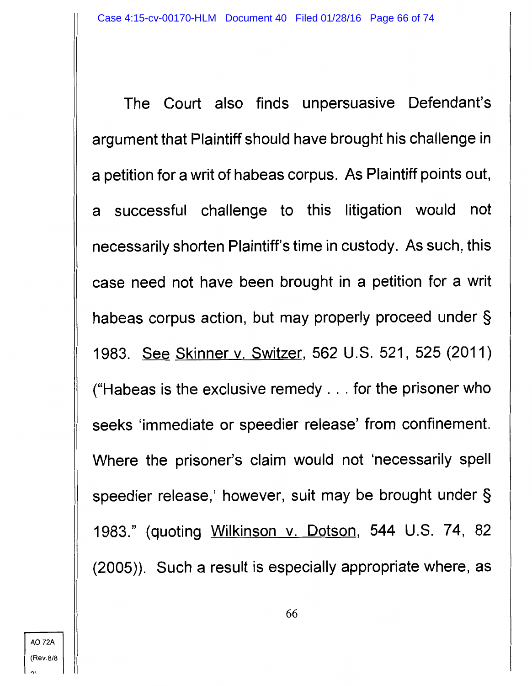The Court also finds unpersuasive Defendant's argument that Plaintiff should have brought his challenge in a petition for a writ of habeas corpus. As Plaintiff points out, a successful challenge to this litigation would not necessarily shorten Plaintiff's time in custody. As such, this case need not have been brought in a petition for a writ habeas corpus action, but may properly proceed under § 1983. See Skinner v. Switzer, 562 U.S. 521, 525 (2011) ("Habeas is the exclusive remedy ... for the prisoner who seeks 'immediate or speedier release' from confinement. Where the prisoner's claim would not 'necessarily spell speedier release,' however, suit may be brought under § 1983." (quoting Wilkinson v. Dotson, 544 U.S. 74, 82 (2005)). Such a result is especially appropriate where, as

'"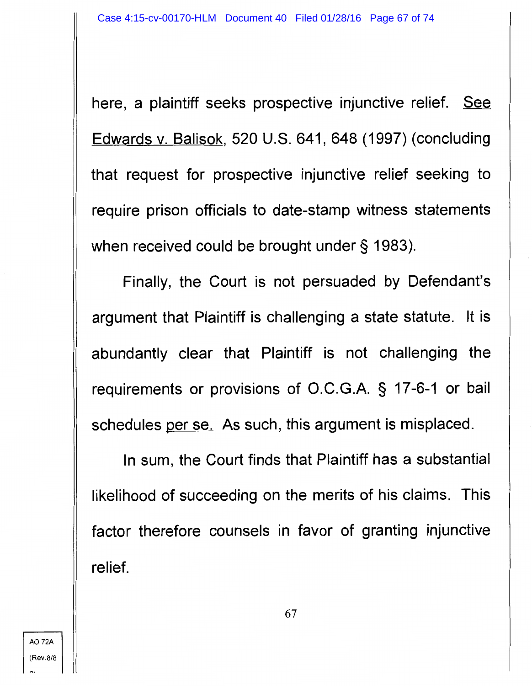here, a plaintiff seeks prospective injunctive relief. See Edwards v. Balisok, 520 U.S. 641, 648 (1997) (concluding that request for prospective injunctive relief seeking to require prison officials to date-stamp witness statements when received could be brought under § 1983).

Finally, the Court is not persuaded by Defendant's argument that Plaintiff is challenging a state statute. It is abundantly clear that Plaintiff is not challenging the requirements or provisions of O.C.G.A. § 17-6-1 or bail schedules per se. As such, this argument is misplaced.

In sum, the Court finds that Plaintiff has a substantial likelihood of succeeding on the merits of his claims. This factor therefore counsels in favor of granting injunctive relief.

67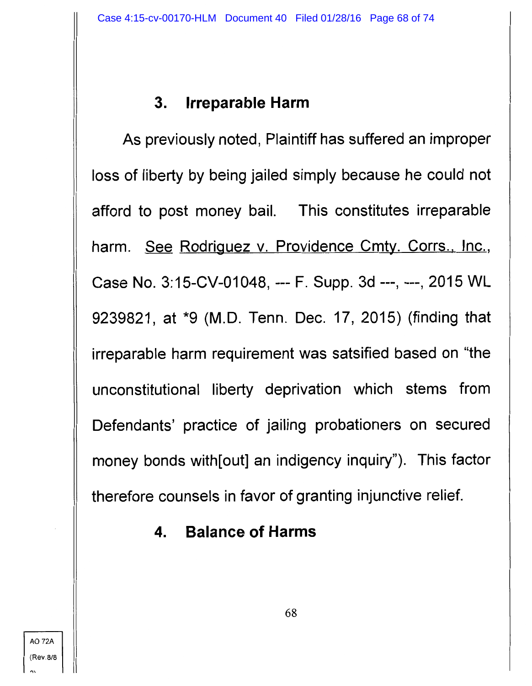## **3. Irreparable Harm**

As previously noted, Plaintiff has suffered an improper loss of liberty by being jailed simply because he could not afford to post money bail. This constitutes irreparable harm. See Rodriguez v. Providence Cmty. Corrs., Inc., Case No. 3: 15-CV-01048, --- F. Supp. 3d ---, ---, 2015 WL 9239821, at \*9 (M.D. Tenn. Dec. 17, 2015) (finding that irreparable harm requirement was satsified based on "the unconstitutional liberty deprivation which stems from Defendants' practice of jailing probationers on secured money bonds with[out] an indigency inquiry"). This factor therefore counsels in favor of granting injunctive relief.

**4. Balance of Harms**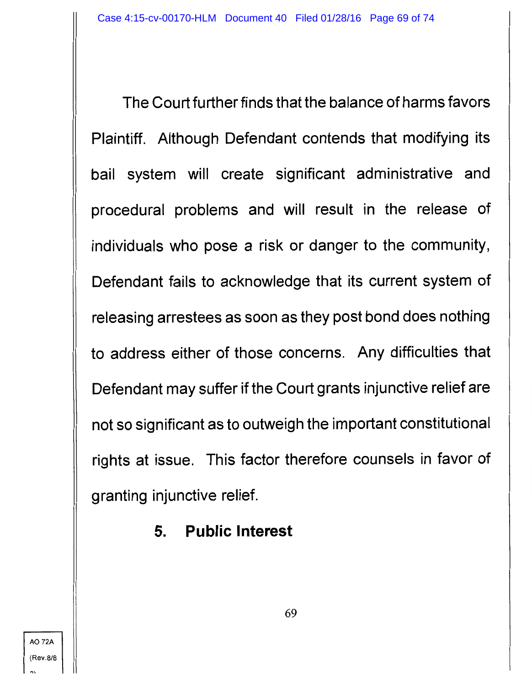The Court further finds that the balance of harms favors Plaintiff. Although Defendant contends that modifying its bail system will create significant administrative and procedural problems and will result in the release of individuals who pose a risk or danger to the community, Defendant fails to acknowledge that its current system of releasing arrestees as soon as they post bond does nothing to address either of those concerns. Any difficulties that Defendant may suffer if the Court grants injunctive relief are not so significant as to outweigh the important constitutional rights at issue. This factor therefore counsels in favor of granting injunctive relief.

**5. Public Interest**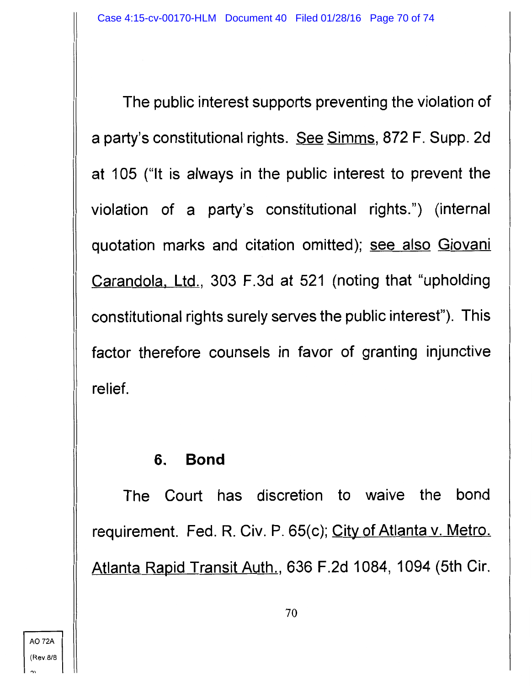The public interest supports preventing the violation of a party's constitutional rights. See Simms, 872 F. Supp. 2d at 105 ("It is always in the public interest to prevent the violation of a party's constitutional rights.") (internal quotation marks and citation omitted); see also Giovani Carandola, Ltd., 303 F.3d at 521 (noting that "upholding constitutional rights surely serves the public interest"). This factor therefore counsels in favor of granting injunctive relief.

### **6. Bond**

The Court has discretion to waive the bond requirement. Fed. R. Civ. P. 65(c); City of Atlanta v. Metro. Atlanta Rapid Transit Auth., 636 F.2d 1084, 1094 (5th Cir.

 $\ddot{\phantom{0}}$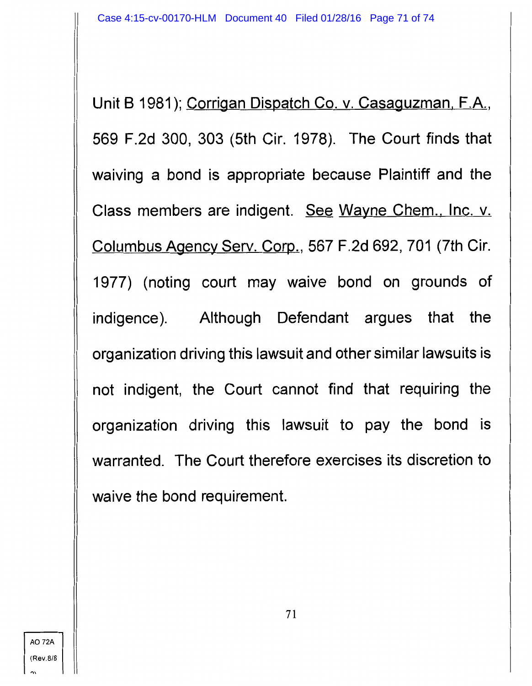Unit B 1981); Corrigan Dispatch Co. v. Casaguzman, F.A., 569 F .2d 300, 303 (5th Cir. 1978). The Court finds that waiving a bond is appropriate because Plaintiff and the Class members are indigent. See Wayne Chem., Inc. v. Columbus Agency Serv. Corp., 567 F.2d 692, 701 (7th Cir. 1977) (noting court may waive bond on grounds of indigence). Although Defendant argues that the organization driving this lawsuit and other similar lawsuits is not indigent, the Court cannot find that requiring the organization driving this lawsuit to pay the bond is warranted. The Court therefore exercises its discretion to waive the bond requirement.

 $\mathbf{a}$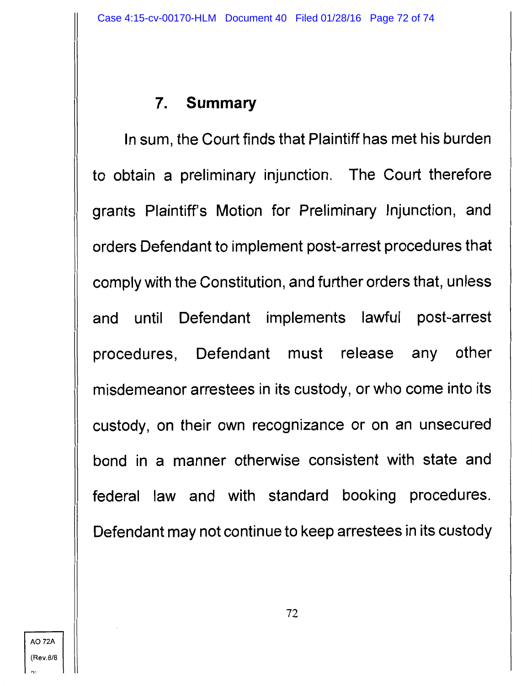# **7. Summary**

In sum, the Court finds that Plaintiff has met his burden to obtain a preliminary injunction. The Court therefore grants Plaintiff's Motion for Preliminary Injunction, and orders Defendant to implement post-arrest procedures that comply with the Constitution, and further orders that, unless and until Defendant implements lawful post-arrest procedures, Defendant must release any other misdemeanor arrestees in its custody, or who come into its custody, on their own recognizance or on an unsecured bond in a manner otherwise consistent with state and federal law and with standard booking procedures. Defendant may not continue to keep arrestees in its custody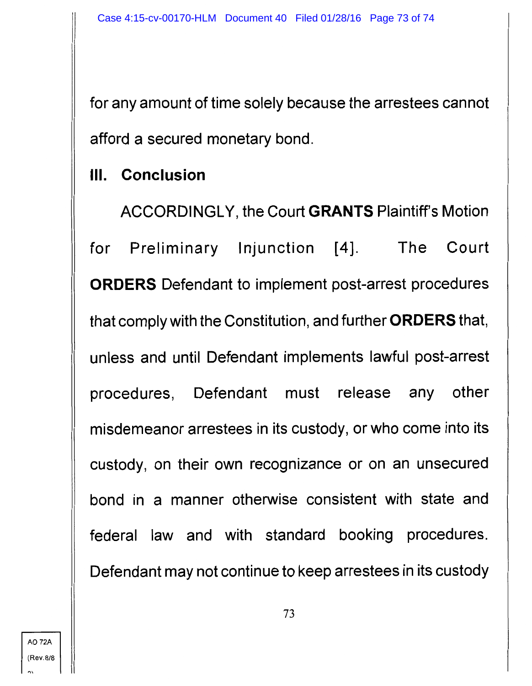for any amount of time solely because the arrestees cannot afford a secured monetary bond.

## Ill. **Conclusion**

ACCORDINGLY, the Court **GRANTS** Plaintiff's Motion for Preliminary Injunction [4]. The Court **ORDERS** Defendant to implement post-arrest procedures that comply with the Constitution, and further **ORDERS** that, unless and until Defendant implements lawful post-arrest procedures, Defendant must release any other misdemeanor arrestees in its custody, or who come into its custody, on their own recognizance or on an unsecured bond in a manner otherwise consistent with state and federal law and with standard booking procedures. Defendant may not continue to keep arrestees in its custody